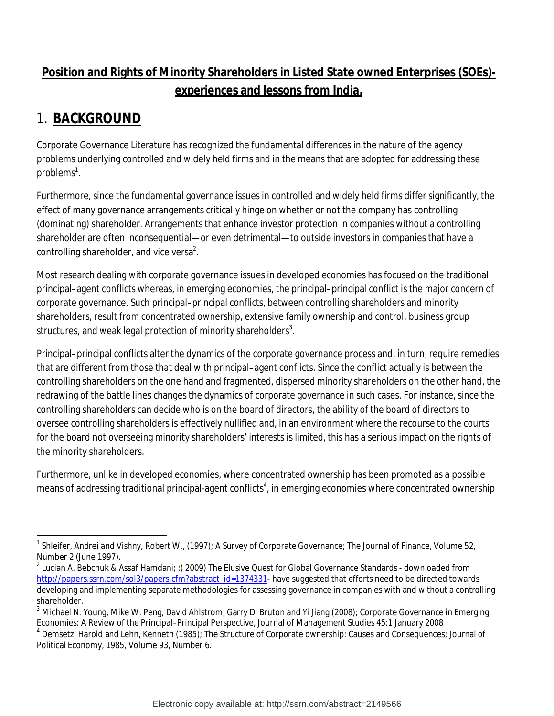### **Position and Rights of Minority Shareholders in Listed State owned Enterprises (SOEs) experiences and lessons from India.**

## 1. **BACKGROUND**

Corporate Governance Literature has recognized the fundamental differences in the nature of the agency problems underlying controlled and widely held firms and in the means that are adopted for addressing these problems<sup>1</sup>.

Furthermore, since the fundamental governance issues in controlled and widely held firms differ significantly, the effect of many governance arrangements critically hinge on whether or not the company has controlling (dominating) shareholder. Arrangements that enhance investor protection in companies without a controlling shareholder are often inconsequential—or even detrimental—to outside investors in companies that have a controlling shareholder, and vice versa<sup>2</sup>.

Most research dealing with corporate governance issues in developed economies has focused on the traditional principal–agent conflicts whereas, in emerging economies, the principal–principal conflict is the major concern of corporate governance. Such principal–principal conflicts, between controlling shareholders and minority shareholders, result from concentrated ownership, extensive family ownership and control, business group structures, and weak legal protection of minority shareholders $^3$ .

Principal–principal conflicts alter the dynamics of the corporate governance process and, in turn, require remedies that are different from those that deal with principal–agent conflicts. Since the conflict actually is between the controlling shareholders on the one hand and fragmented, dispersed minority shareholders on the other hand, the redrawing of the battle lines changes the dynamics of corporate governance in such cases. For instance, since the controlling shareholders can decide who is on the board of directors, the ability of the board of directors to oversee controlling shareholders is effectively nullified and, in an environment where the recourse to the courts for the board not overseeing minority shareholders' interests is limited, this has a serious impact on the rights of the minority shareholders.

Furthermore, unlike in developed economies, where concentrated ownership has been promoted as a possible means of addressing traditional principal-agent conflicts $\sp4$ , in emerging economies where concentrated ownership

 $\overline{a}$ <sup>1</sup> Shleifer, Andrei and Vishny, Robert W., (1997); A Survey of Corporate Governance; The Journal of Finance, Volume 52, Number 2 (June 1997).

 $^2$  Lucian A. Bebchuk & Assaf Hamdani; ;( 2009) The Elusive Quest for Global Governance Standards - downloaded from http://papers.ssrn.com/sol3/papers.cfm?abstract\_id=1374331- have suggested that efforts need to be directed towards developing and implementing separate methodologies for assessing governance in companies with and without a controlling shareholder.

<sup>&</sup>lt;sup>3</sup> Michael N. Young, Mike W. Peng, David Ahlstrom, Garry D. Bruton and Yi Jiang (2008); Corporate Governance in Emerging Economies: A Review of the Principal–Principal Perspective, Journal of Management Studies 45:1 January 2008

<sup>4</sup> Demsetz, Harold and Lehn, Kenneth (1985); The Structure of Corporate ownership: Causes and Consequences; Journal of Political Economy, 1985, Volume 93, Number 6.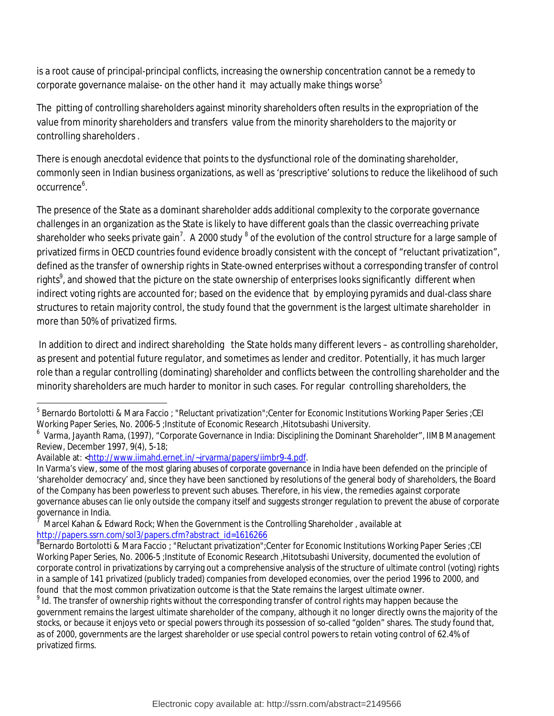is a root cause of principal-principal conflicts, increasing the ownership concentration cannot be a remedy to corporate governance malaise- on the other hand it may actually make things worse $^{\rm 5}$ 

The pitting of controlling shareholders against minority shareholders often results in the expropriation of the value from minority shareholders and transfers value from the minority shareholders to the majority or controlling shareholders .

There is enough anecdotal evidence that points to the dysfunctional role of the dominating shareholder, commonly seen in Indian business organizations, as well as 'prescriptive' solutions to reduce the likelihood of such occurrence<sup>6</sup>.

The presence of the State as a dominant shareholder adds additional complexity to the corporate governance challenges in an organization as the State is likely to have different goals than the classic overreaching private shareholder who seeks private gain<sup>7</sup>. A 2000 study  $^8$  of the evolution of the control structure for a large sample of privatized firms in OECD countries found evidence broadly consistent with the concept of "reluctant privatization", defined as the transfer of ownership rights in State-owned enterprises without a corresponding transfer of control rights<sup>9</sup>, and showed that the picture on the state ownership of enterprises looks significantly different when indirect voting rights are accounted for; based on the evidence that by employing pyramids and dual-class share structures to retain majority control, the study found that the government is the largest ultimate shareholder in more than 50% of privatized firms.

In addition to direct and indirect shareholding the State holds many different levers – as controlling shareholder, as present and potential future regulator, and sometimes as lender and creditor. Potentially, it has much larger role than a regular controlling (dominating) shareholder and conflicts between the controlling shareholder and the minority shareholders are much harder to monitor in such cases. For regular controlling shareholders, the

 $\overline{\phantom{a}}$ 5 Bernardo Bortolotti & Mara Faccio ; "Reluctant privatization";Center for Economic Institutions Working Paper Series ;CEI Working Paper Series, No. 2006-5 ;Institute of Economic Research ,Hitotsubashi University.

<sup>6</sup> Varma, Jayanth Rama, (1997), "Corporate Governance in India: Disciplining the Dominant Shareholder", *IIMB Management Review*, December 1997, 9(4), 5-18;

Available at: <http://www.iimahd.ernet.in/~jrvarma/papers/iimbr9-4.pdf.

In Varma's view, some of the most glaring abuses of corporate governance in India have been defended on the principle of 'shareholder democracy' and, since they have been sanctioned by resolutions of the general body of shareholders, the Board of the Company has been powerless to prevent such abuses. Therefore, in his view, the remedies against corporate governance abuses can lie only outside the company itself and suggests stronger regulation to prevent the abuse of corporate governance in India.

<sup>7</sup> Marcel Kahan & Edward Rock; When the Government is the Controlling Shareholder , available at http://papers.ssrn.com/sol3/papers.cfm?abstract\_id=1616266

 $^8$ Bernardo Bortolotti & Mara Faccio ; "Reluctant privatization";Center for Economic Institutions Working Paper Series ;CEI Working Paper Series, No. 2006-5 ;Institute of Economic Research ,Hitotsubashi University, documented the evolution of corporate control in privatizations by carrying out a comprehensive analysis of the structure of ultimate control (voting) rights in a sample of 141 privatized (publicly traded) companies from developed economies, over the period 1996 to 2000, and found that the most common privatization outcome is that the State remains the largest ultimate owner.

 $^9$  Id. The transfer of ownership rights without the corresponding transfer of control rights may happen because the government remains the largest ultimate shareholder of the company, although it no longer directly owns the majority of the stocks, or because it enjoys veto or special powers through its possession of so-called "golden" shares. The study found that, as of 2000, governments are the largest shareholder or use special control powers to retain voting control of 62.4% of privatized firms.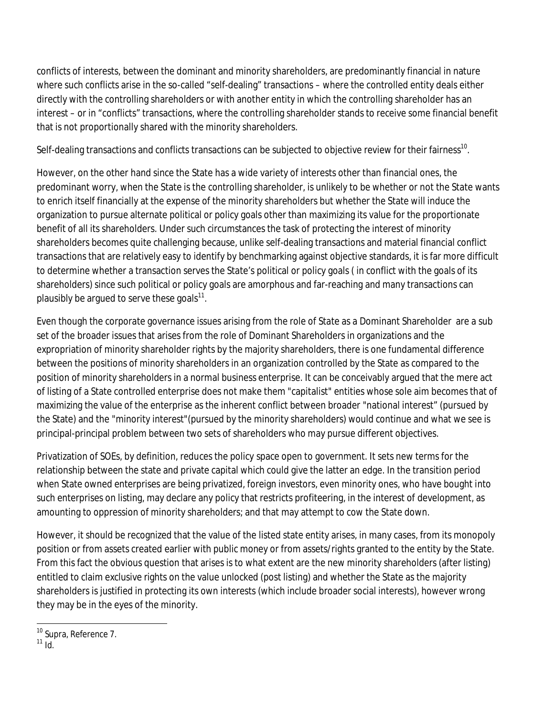conflicts of interests, between the dominant and minority shareholders, are predominantly financial in nature where such conflicts arise in the so-called "self-dealing" transactions – where the controlled entity deals either directly with the controlling shareholders or with another entity in which the controlling shareholder has an interest – or in "conflicts" transactions, where the controlling shareholder stands to receive some financial benefit that is not proportionally shared with the minority shareholders.

Self-dealing transactions and conflicts transactions can be subjected to objective review for their fairness $^{\rm 10}$ .

However, on the other hand since the State has a wide variety of interests other than financial ones, the predominant worry, when the State is the controlling shareholder, is unlikely to be whether or not the State wants to enrich itself financially at the expense of the minority shareholders but whether the State will induce the organization to pursue alternate political or policy goals other than maximizing its value for the proportionate benefit of all its shareholders. Under such circumstances the task of protecting the interest of minority shareholders becomes quite challenging because, unlike self-dealing transactions and material financial conflict transactions that are relatively easy to identify by benchmarking against objective standards, it is far more difficult to determine whether a transaction serves the State's political or policy goals ( in conflict with the goals of its shareholders) since such political or policy goals are amorphous and far-reaching and many transactions can plausibly be argued to serve these goals $^{\rm 11}.$ 

Even though the corporate governance issues arising from the role of State as a Dominant Shareholder are a sub set of the broader issues that arises from the role of Dominant Shareholders in organizations and the expropriation of minority shareholder rights by the majority shareholders, there is one fundamental difference between the positions of minority shareholders in an organization controlled by the State as compared to the position of minority shareholders in a normal business enterprise. It can be conceivably argued that the mere act of listing of a State controlled enterprise does not make them "capitalist" entities whose sole aim becomes that of maximizing the value of the enterprise as the inherent conflict between broader "national interest" (pursued by the State) and the "minority interest"(pursued by the minority shareholders) would continue and what we see is principal-principal problem between two sets of shareholders who may pursue different objectives.

Privatization of SOEs, by definition, reduces the policy space open to government. It sets new terms for the relationship between the state and private capital which could give the latter an edge. In the transition period when State owned enterprises are being privatized, foreign investors, even minority ones, who have bought into such enterprises on listing, may declare any policy that restricts profiteering, in the interest of development, as amounting to oppression of minority shareholders; and that may attempt to cow the State down.

However, it should be recognized that the value of the listed state entity arises, in many cases, from its monopoly position or from assets created earlier with public money or from assets/rights granted to the entity by the State. From this fact the obvious question that arises is to what extent are the new minority shareholders (after listing) entitled to claim exclusive rights on the value unlocked (post listing) and whether the State as the majority shareholders is justified in protecting its own interests (which include broader social interests), however wrong they may be in the eyes of the minority.

 $\overline{\phantom{a}}$ <sup>10</sup> Supra, Reference 7.

 $11$  Id.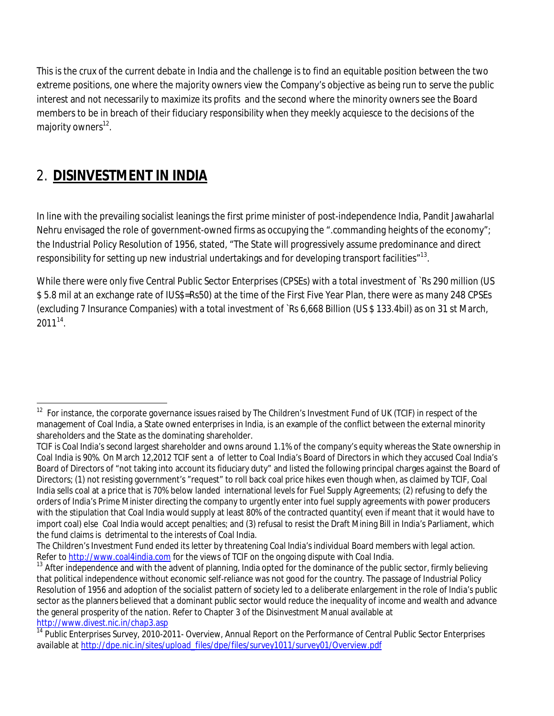This is the crux of the current debate in India and the challenge is to find an equitable position between the two extreme positions, one where the majority owners view the Company's objective as being run to serve the public interest and not necessarily to maximize its profits and the second where the minority owners see the Board members to be in breach of their fiduciary responsibility when they meekly acquiesce to the decisions of the majority owners<sup>12</sup>.

## 2. **DISINVESTMENT IN INDIA**

In line with the prevailing socialist leanings the first prime minister of post-independence India, Pandit Jawaharlal Nehru envisaged the role of government-owned firms as occupying the ".commanding heights of the economy"; the Industrial Policy Resolution of 1956, stated, "The State will progressively assume predominance and direct responsibility for setting up new industrial undertakings and for developing transport facilities" $^{\rm 13}.$ 

While there were only five Central Public Sector Enterprises (CPSEs) with a total investment of `Rs 290 million (US \$ 5.8 mil at an exchange rate of IUS\$=Rs50) at the time of the First Five Year Plan, there were as many 248 CPSEs (excluding 7 Insurance Companies) with a total investment of `Rs 6,668 Billion (US \$ 133.4bil) as on 31 st March, 2011*<sup>14</sup> .* 

 $\overline{\phantom{a}}$  $12$  For instance, the corporate governance issues raised by The Children's Investment Fund of UK (TCIF) in respect of the management of Coal India, a State owned enterprises in India, is an example of the conflict between the external minority shareholders and the State as the dominating shareholder.

TCIF is Coal India's second largest shareholder and owns around 1.1% of the company's equity whereas the State ownership in Coal India is 90%. On March 12,2012 TCIF sent a of letter to Coal India's Board of Directors in which they accused Coal India's Board of Directors of "not taking into account its fiduciary duty" and listed the following principal charges against the Board of Directors; (1) not resisting government's "request" to roll back coal price hikes even though when, as claimed by TCIF, Coal India sells coal at a price that is 70% below landed international levels for Fuel Supply Agreements; (2) refusing to defy the orders of India's Prime Minister directing the company to urgently enter into fuel supply agreements with power producers with the stipulation that Coal India would supply at least 80% of the contracted quantity( even if meant that it would have to import coal) else Coal India would accept penalties; and (3) refusal to resist the Draft Mining Bill in India's Parliament, which the fund claims is detrimental to the interests of Coal India.

The Children's Investment Fund ended its letter by threatening Coal India's individual Board members with legal action. Refer to http://www.coal4india.com for the views of TCIF on the ongoing dispute with Coal India.

<sup>&</sup>lt;sup>13</sup> After independence and with the advent of planning, India opted for the dominance of the public sector, firmly believing that political independence without economic self-reliance was not good for the country. The passage of Industrial Policy Resolution of 1956 and adoption of the socialist pattern of society led to a deliberate enlargement in the role of India's public sector as the planners believed that a dominant public sector would reduce the inequality of income and wealth and advance the general prosperity of the nation. Refer to Chapter 3 of the Disinvestment Manual available at http://www.divest.nic.in/chap3.asp

<sup>&</sup>lt;sup>14</sup> Public Enterprises Survey, 2010-2011- Overview, Annual Report on the Performance of Central Public Sector Enterprises available at http://dpe.nic.in/sites/upload\_files/dpe/files/survey1011/survey01/Overview.pdf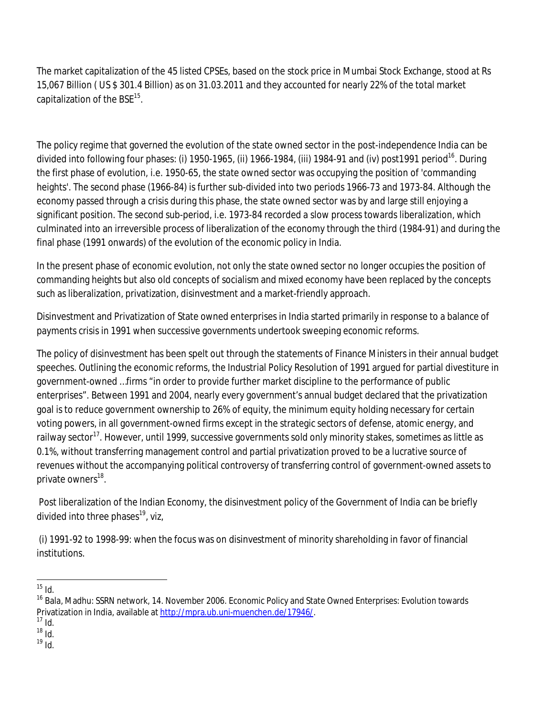The market capitalization of the 45 listed CPSEs, based on the stock price in Mumbai Stock Exchange, stood at Rs 15,067 Billion ( US \$ 301.4 Billion) as on 31.03.2011 and they accounted for nearly 22% of the total market capitalization of the BSE $^{\rm 15}$ .

The policy regime that governed the evolution of the state owned sector in the post-independence India can be divided into following four phases: (i) 1950-1965, (ii) 1966-1984, (iii) 1984-91 and (iv) post1991 period<sup>16</sup>. During the first phase of evolution, i.e. 1950-65, the state owned sector was occupying the position of 'commanding heights'. The second phase (1966-84) is further sub-divided into two periods 1966-73 and 1973-84. Although the economy passed through a crisis during this phase, the state owned sector was by and large still enjoying a significant position. The second sub-period, i.e. 1973-84 recorded a slow process towards liberalization, which culminated into an irreversible process of liberalization of the economy through the third (1984-91) and during the final phase (1991 onwards) of the evolution of the economic policy in India.

In the present phase of economic evolution, not only the state owned sector no longer occupies the position of commanding heights but also old concepts of socialism and mixed economy have been replaced by the concepts such as liberalization, privatization, disinvestment and a market-friendly approach.

Disinvestment and Privatization of State owned enterprises in India started primarily in response to a balance of payments crisis in 1991 when successive governments undertook sweeping economic reforms.

The policy of disinvestment has been spelt out through the statements of Finance Ministers in their annual budget speeches. Outlining the economic reforms, the Industrial Policy Resolution of 1991 argued for partial divestiture in government-owned …firms "in order to provide further market discipline to the performance of public enterprises". Between 1991 and 2004, nearly every government's annual budget declared that the privatization goal is to reduce government ownership to 26% of equity, the minimum equity holding necessary for certain voting powers, in all government-owned firms except in the strategic sectors of defense, atomic energy, and railway sector<sup>17</sup>. However, until 1999, successive governments sold only minority stakes, sometimes as little as 0.1%, without transferring management control and partial privatization proved to be a lucrative source of revenues without the accompanying political controversy of transferring control of government-owned assets to private owners<sup>18</sup>.

Post liberalization of the Indian Economy, the disinvestment policy of the Government of India can be briefly divided into three phases <sup>19</sup>, viz,

(i) 1991-92 to 1998-99: when the focus was on disinvestment of minority shareholding in favor of financial institutions.

 $19 \overline{10}$ .

 $\overline{\phantom{a}}$  $15$  Id.

<sup>&</sup>lt;sup>16</sup> Bala, Madhu: SSRN network, 14. November 2006. Economic Policy and State Owned Enterprises: Evolution towards Privatization in India, available at http://mpra.ub.uni-muenchen.de/17946/.

 $17$  Id.

 $18 \overline{10}$ .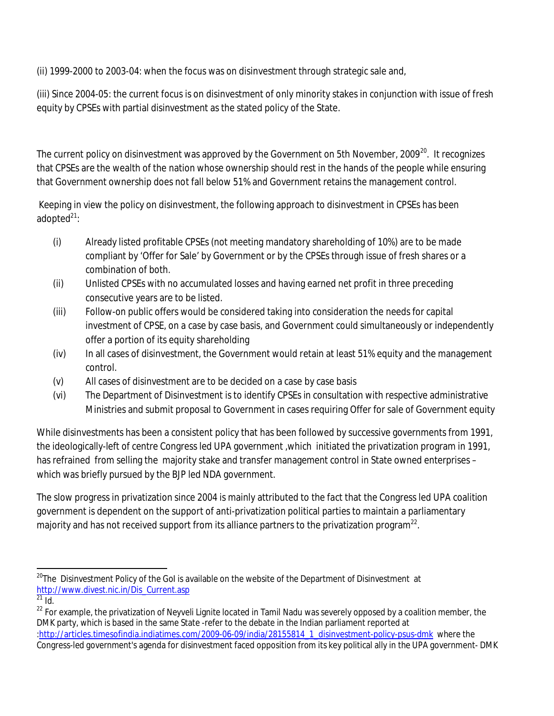(ii) 1999-2000 to 2003-04: when the focus was on disinvestment through strategic sale and,

(iii) Since 2004-05: the current focus is on disinvestment of only minority stakes in conjunction with issue of fresh equity by CPSEs with partial disinvestment as the stated policy of the State.

The current policy on disinvestment was approved by the Government on 5th November, 2009 $^{\rm 20}$ . It recognizes that CPSEs are the wealth of the nation whose ownership should rest in the hands of the people while ensuring that Government ownership does not fall below 51% and Government retains the management control.

Keeping in view the policy on disinvestment, the following approach to disinvestment in CPSEs has been adopted $^{21}$ :

- (i) Already listed profitable CPSEs (not meeting mandatory shareholding of 10%) are to be made compliant by 'Offer for Sale' by Government or by the CPSEs through issue of fresh shares or a combination of both.
- (ii) Unlisted CPSEs with no accumulated losses and having earned net profit in three preceding consecutive years are to be listed.
- (iii) Follow-on public offers would be considered taking into consideration the needs for capital investment of CPSE, on a case by case basis, and Government could simultaneously or independently offer a portion of its equity shareholding
- (iv) In all cases of disinvestment, the Government would retain at least 51% equity and the management control.
- (v) All cases of disinvestment are to be decided on a case by case basis
- (vi) The Department of Disinvestment is to identify CPSEs in consultation with respective administrative Ministries and submit proposal to Government in cases requiring Offer for sale of Government equity

While disinvestments has been a consistent policy that has been followed by successive governments from 1991, the ideologically-left of centre Congress led UPA government ,which initiated the privatization program in 1991, has refrained from selling the majority stake and transfer management control in State owned enterprises which was briefly pursued by the BJP led NDA government.

The slow progress in privatization since 2004 is mainly attributed to the fact that the Congress led UPA coalition government is dependent on the support of anti-privatization political parties to maintain a parliamentary majority and has not received support from its alliance partners to the privatization program $^\mathrm{22}.$ 

 $\overline{a}$  $^{20}$ The Disinvestment Policy of the GoI is available on the website of the Department of Disinvestment at http://www.divest.nic.in/Dis\_Current.asp

 $^{21}$  Id.

<sup>&</sup>lt;sup>22</sup> For example, the privatization of Neyveli Lignite located in Tamil Nadu was severely opposed by a coalition member, the DMK party, which is based in the same State -refer to the debate in the Indian parliament reported at :http://articles.timesofindia.indiatimes.com/2009-06-09/india/28155814\_1\_disinvestment-policy-psus-dmk where the Congress-led government's agenda for disinvestment faced opposition from its key political ally in the UPA government- DMK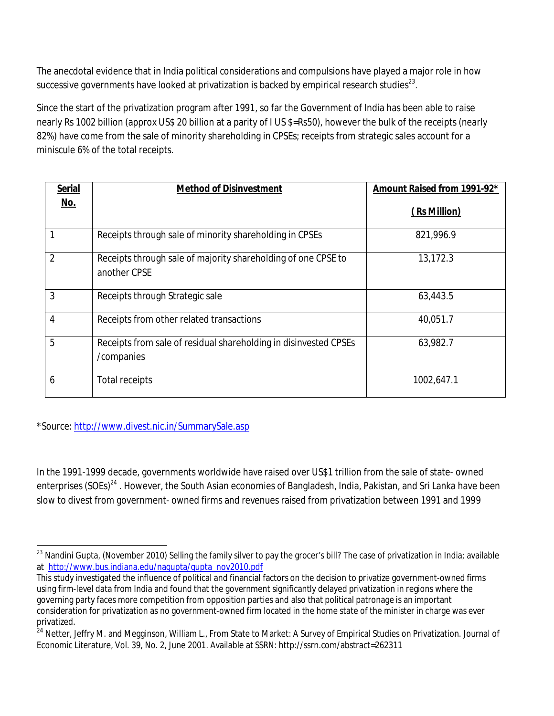The anecdotal evidence that in India political considerations and compulsions have played a major role in how successive governments have looked at privatization is backed by empirical research studies $^{23}\cdot$ 

Since the start of the privatization program after 1991, so far the Government of India has been able to raise nearly Rs 1002 billion (approx US\$ 20 billion at a parity of I US \$=Rs50), however the bulk of the receipts (nearly 82%) have come from the sale of minority shareholding in CPSEs; receipts from strategic sales account for a miniscule 6% of the total receipts.

| <b>Serial</b>  | <b>Method of Disinvestment</b>                                                 | Amount Raised from 1991-92* |
|----------------|--------------------------------------------------------------------------------|-----------------------------|
| <u>No.</u>     |                                                                                | (Rs Million)                |
|                | Receipts through sale of minority shareholding in CPSEs                        | 821,996.9                   |
| $\mathfrak{D}$ | Receipts through sale of majority shareholding of one CPSE to<br>another CPSE  | 13,172.3                    |
| 3              | Receipts through Strategic sale                                                | 63,443.5                    |
| 4              | Receipts from other related transactions                                       | 40,051.7                    |
| 5              | Receipts from sale of residual shareholding in disinvested CPSEs<br>/companies | 63,982.7                    |
| 6              | <b>Total receipts</b>                                                          | 1002,647.1                  |

\*Source: http://www.divest.nic.in/SummarySale.asp

In the 1991-1999 decade, governments worldwide have raised over US\$1 trillion from the sale of state- owned enterprises (SOEs)<sup>24</sup>. However, the South Asian economies of Bangladesh, India, Pakistan, and Sri Lanka have been slow to divest from government- owned firms and revenues raised from privatization between 1991 and 1999

 $\overline{\phantom{a}}$  $^{23}$  Nandini Gupta, (November 2010) Selling the family silver to pay the grocer's bill? The case of privatization in India; available at http://www.bus.indiana.edu/nagupta/gupta\_nov2010.pdf

This study investigated the influence of political and financial factors on the decision to privatize government-owned firms using firm-level data from India and found that the government significantly delayed privatization in regions where the governing party faces more competition from opposition parties and also that political patronage is an important consideration for privatization as no government-owned firm located in the home state of the minister in charge was ever privatized.

<sup>24</sup> Netter, Jeffry M. and Megginson, William L., From State to Market: A Survey of Empirical Studies on Privatization. Journal of Economic Literature, Vol. 39, No. 2, June 2001. Available at SSRN: http://ssrn.com/abstract=262311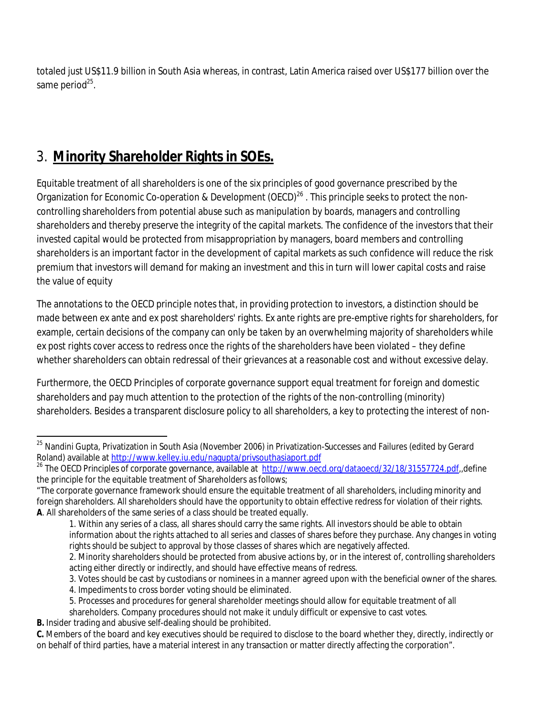totaled just US\$11.9 billion in South Asia whereas, in contrast, Latin America raised over US\$177 billion over the same period<sup>25</sup>.

# 3. **Minority Shareholder Rights in SOEs.**

Equitable treatment of all shareholders is one of the six principles of good governance prescribed by the Organization for Economic Co-operation & Development (OECD)<sup>26</sup>. This principle seeks to protect the noncontrolling shareholders from potential abuse such as manipulation by boards, managers and controlling shareholders and thereby preserve the integrity of the capital markets. The confidence of the investors that their invested capital would be protected from misappropriation by managers, board members and controlling shareholders is an important factor in the development of capital markets as such confidence will reduce the risk premium that investors will demand for making an investment and this in turn will lower capital costs and raise the value of equity

The annotations to the OECD principle notes that, in providing protection to investors, a distinction should be made between ex ante and ex post shareholders' rights. Ex ante rights are pre-emptive rights for shareholders, for example, certain decisions of the company can only be taken by an overwhelming majority of shareholders while ex post rights cover access to redress once the rights of the shareholders have been violated – they define whether shareholders can obtain redressal of their grievances at a reasonable cost and without excessive delay.

Furthermore, the OECD Principles of corporate governance support equal treatment for foreign and domestic shareholders and pay much attention to the protection of the rights of the non-controlling (minority) shareholders. Besides a transparent disclosure policy to all shareholders, a key to protecting the interest of non-

 $\overline{\phantom{a}}$ <sup>25</sup> Nandini Gupta, Privatization in South Asia (November 2006) in Privatization-Successes and Failures (edited by Gerard Roland) available at http://www.kelley.iu.edu/nagupta/privsouthasiaport.pdf

<sup>&</sup>lt;sup>26</sup> The OECD Principles of corporate governance, available at http://www.oecd.org/dataoecd/32/18/31557724.pdf,,define the principle for the equitable treatment of Shareholders as follows;

<sup>&</sup>quot;The corporate governance framework should ensure the equitable treatment of all shareholders, including minority and foreign shareholders. All shareholders should have the opportunity to obtain effective redress for violation of their rights. **A**. All shareholders of the same series of a class should be treated equally.

<sup>1.</sup> Within any series of a class, all shares should carry the same rights. All investors should be able to obtain information about the rights attached to all series and classes of shares before they purchase. Any changes in voting rights should be subject to approval by those classes of shares which are negatively affected. 2. Minority shareholders should be protected from abusive actions by, or in the interest of, controlling shareholders

acting either directly or indirectly, and should have effective means of redress.

<sup>3.</sup> Votes should be cast by custodians or nominees in a manner agreed upon with the beneficial owner of the shares.

<sup>4.</sup> Impediments to cross border voting should be eliminated.

<sup>5.</sup> Processes and procedures for general shareholder meetings should allow for equitable treatment of all

shareholders. Company procedures should not make it unduly difficult or expensive to cast votes.

**B.** Insider trading and abusive self-dealing should be prohibited.

**C.** Members of the board and key executives should be required to disclose to the board whether they, directly, indirectly or on behalf of third parties, have a material interest in any transaction or matter directly affecting the corporation".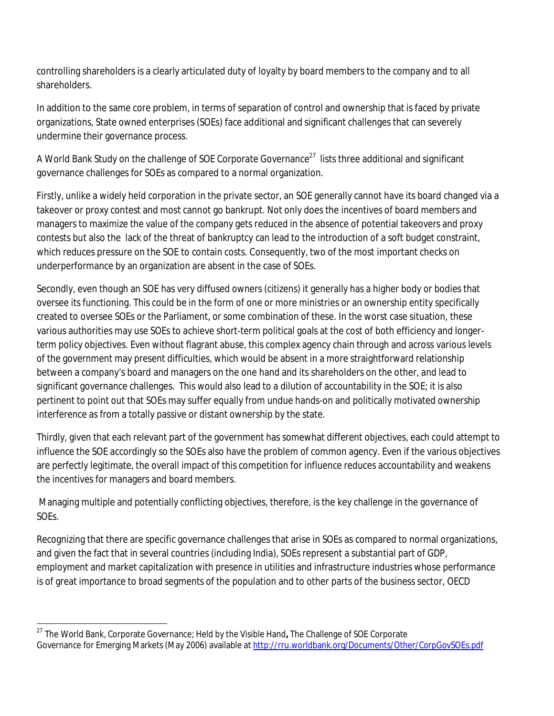controlling shareholders is a clearly articulated duty of loyalty by board members to the company and to all shareholders*.*

In addition to the same core problem, in terms of separation of control and ownership that is faced by private organizations, State owned enterprises (SOEs) face additional and significant challenges that can severely undermine their governance process.

A World Bank Study on the challenge of SOE Corporate Governance<sup>27</sup> lists three additional and significant governance challenges for SOEs as compared to a normal organization.

Firstly, unlike a widely held corporation in the private sector, an SOE generally cannot have its board changed via a takeover or proxy contest and most cannot go bankrupt. Not only does the incentives of board members and managers to maximize the value of the company gets reduced in the absence of potential takeovers and proxy contests but also the lack of the threat of bankruptcy can lead to the introduction of a soft budget constraint, which reduces pressure on the SOE to contain costs. Consequently, two of the most important checks on underperformance by an organization are absent in the case of SOEs.

Secondly, even though an SOE has very diffused owners (citizens) it generally has a higher body or bodies that oversee its functioning. This could be in the form of one or more ministries or an ownership entity specifically created to oversee SOEs or the Parliament, or some combination of these. In the worst case situation, these various authorities may use SOEs to achieve short-term political goals at the cost of both efficiency and longerterm policy objectives. Even without flagrant abuse, this complex agency chain through and across various levels of the government may present difficulties, which would be absent in a more straightforward relationship between a company's board and managers on the one hand and its shareholders on the other, and lead to significant governance challenges. This would also lead to a dilution of accountability in the SOE; it is also pertinent to point out that SOEs may suffer equally from undue hands-on and politically motivated ownership interference as from a totally passive or distant ownership by the state.

Thirdly, given that each relevant part of the government has somewhat different objectives, each could attempt to influence the SOE accordingly so the SOEs also have the problem of common agency. Even if the various objectives are perfectly legitimate, the overall impact of this competition for influence reduces accountability and weakens the incentives for managers and board members.

Managing multiple and potentially conflicting objectives, therefore, is the key challenge in the governance of SOEs.

Recognizing that there are specific governance challenges that arise in SOEs as compared to normal organizations, and given the fact that in several countries (including India), SOEs represent a substantial part of GDP, employment and market capitalization with presence in utilities and infrastructure industries whose performance is of great importance to broad segments of the population and to other parts of the business sector, OECD

 $\overline{\phantom{a}}$ <sup>27</sup> The World Bank, Corporate Governance; Held by the Visible Hand**,** The Challenge of SOE Corporate Governance for Emerging Markets (May 2006) available at http://rru.worldbank.org/Documents/Other/CorpGovSOEs.pdf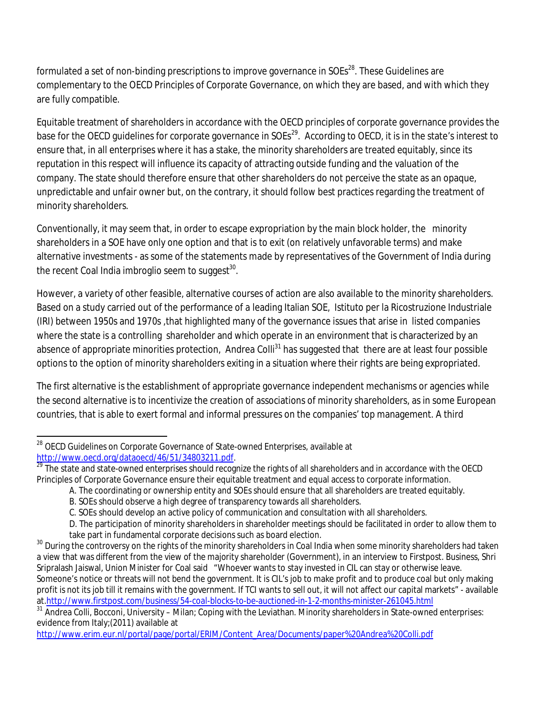formulated a set of non-binding prescriptions to improve governance in SOEs $^{\rm 28}$ . These Guidelines are complementary to the OECD Principles of Corporate Governance, on which they are based, and with which they are fully compatible.

Equitable treatment of shareholders in accordance with the OECD principles of corporate governance provides the base for the OECD guidelines for corporate governance in SOEs $^{29}$ . According to OECD, it is in the state's interest to ensure that, in all enterprises where it has a stake, the minority shareholders are treated equitably, since its reputation in this respect will influence its capacity of attracting outside funding and the valuation of the company. The state should therefore ensure that other shareholders do not perceive the state as an opaque, unpredictable and unfair owner but, on the contrary, it should follow best practices regarding the treatment of minority shareholders.

Conventionally, it may seem that, in order to escape expropriation by the main block holder, the minority shareholders in a SOE have only one option and that is to exit (on relatively unfavorable terms) and make alternative investments - as some of the statements made by representatives of the Government of India during the recent Coal India imbroglio seem to suggest $^{\rm 30}$ .

However, a variety of other feasible, alternative courses of action are also available to the minority shareholders. Based on a study carried out of the performance of a leading Italian SOE, Istituto per la Ricostruzione Industriale (IRI) between 1950s and 1970s ,that highlighted many of the governance issues that arise in listed companies where the state is a controlling shareholder and which operate in an environment that is characterized by an absence of appropriate minorities protection, Andrea Colli<sup>31</sup> has suggested that there are at least four possible options to the option of minority shareholders exiting in a situation where their rights are being expropriated.

The first alternative is the establishment of appropriate governance independent mechanisms or agencies while the second alternative is to incentivize the creation of associations of minority shareholders, as in some European countries, that is able to exert formal and informal pressures on the companies' top management. A third

http://www.erim.eur.nl/portal/page/portal/ERIM/Content\_Area/Documents/paper%20Andrea%20Colli.pdf

 $\overline{\phantom{a}}$  $^{28}$  OECD Guidelines on Corporate Governance of State-owned Enterprises, available at http://www.oecd.org/dataoecd/46/51/34803211.pdf.

<sup>&</sup>lt;sup>29</sup> The state and state-owned enterprises should recognize the rights of all shareholders and in accordance with the OECD Principles of Corporate Governance ensure their equitable treatment and equal access to corporate information.

A. The coordinating or ownership entity and SOEs should ensure that all shareholders are treated equitably.

B. SOEs should observe a high degree of transparency towards all shareholders.

C. SOEs should develop an active policy of communication and consultation with all shareholders.

D. The participation of minority shareholders in shareholder meetings should be facilitated in order to allow them to take part in fundamental corporate decisions such as board election.

<sup>&</sup>lt;sup>30</sup> During the controversy on the rights of the minority shareholders in Coal India when some minority shareholders had taken a view that was different from the view of the majority shareholder (Government), in an interview to Firstpost. Business, Shri Sripralash Jaiswal, Union Minister for Coal said "Whoever wants to stay invested in CIL can stay or otherwise leave. Someone's notice or threats will not bend the government. It is CIL's job to make profit and to produce coal but only making profit is not its job till it remains with the government. If TCI wants to sell out, it will not affect our capital markets" - available at.http://www.firstpost.com/business/54-coal-blocks-to-be-auctioned-in-1-2-months-minister-261045.html

<sup>&</sup>lt;sup>31</sup> Andrea Colli, Bocconi, University – Milan; Coping with the Leviathan. Minority shareholders in State-owned enterprises: evidence from Italy;(2011) available at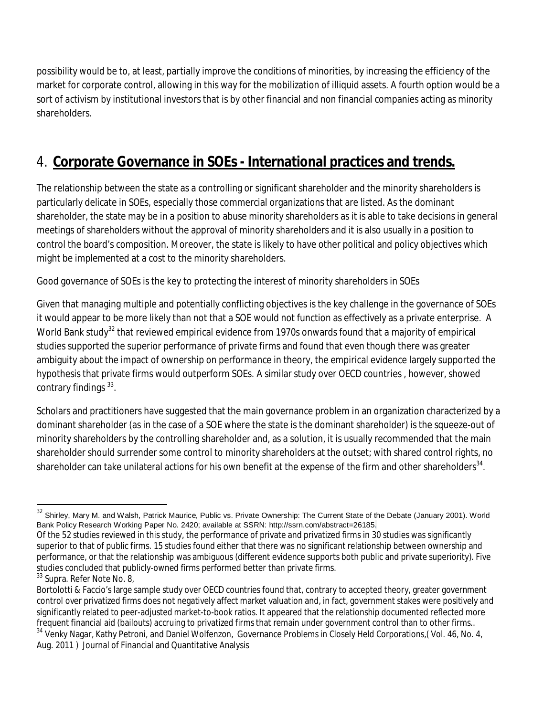possibility would be to, at least, partially improve the conditions of minorities, by increasing the efficiency of the market for corporate control, allowing in this way for the mobilization of illiquid assets. A fourth option would be a sort of activism by institutional investors that is by other financial and non financial companies acting as minority shareholders.

# 4. **Corporate Governance in SOEs - International practices and trends.**

The relationship between the state as a controlling or significant shareholder and the minority shareholders is particularly delicate in SOEs, especially those commercial organizations that are listed. As the dominant shareholder, the state may be in a position to abuse minority shareholders as it is able to take decisions in general meetings of shareholders without the approval of minority shareholders and it is also usually in a position to control the board's composition. Moreover, the state is likely to have other political and policy objectives which might be implemented at a cost to the minority shareholders.

Good governance of SOEs is the key to protecting the interest of minority shareholders in SOEs

Given that managing multiple and potentially conflicting objectives is the key challenge in the governance of SOEs it would appear to be more likely than not that a SOE would not function as effectively as a private enterprise. A World Bank study<sup>32</sup> that reviewed empirical evidence from 1970s onwards found that a majority of empirical studies supported the superior performance of private firms and found that even though there was greater ambiguity about the impact of ownership on performance in theory, the empirical evidence largely supported the hypothesis that private firms would outperform SOEs. A similar study over OECD countries , however, showed contrary findings 33.

Scholars and practitioners have suggested that the main governance problem in an organization characterized by a dominant shareholder (as in the case of a SOE where the state is the dominant shareholder) is the squeeze-out of minority shareholders by the controlling shareholder and, as a solution, it is usually recommended that the main shareholder should surrender some control to minority shareholders at the outset; with shared control rights, no shareholder can take unilateral actions for his own benefit at the expense of the firm and other shareholders $^{\rm 34}.$ 

 $\overline{a}$  $^{32}$  Shirley, Mary M. and Walsh, Patrick Maurice, Public vs. Private Ownership: The Current State of the Debate (January 2001). World Bank Policy Research Working Paper No. 2420; available at SSRN: http://ssrn.com/abstract=26185.

Of the 52 studies reviewed in this study, the performance of private and privatized firms in 30 studies was significantly superior to that of public firms. 15 studies found either that there was no significant relationship between ownership and performance, or that the relationship was ambiguous (different evidence supports both public and private superiority). Five studies concluded that publicly-owned firms performed better than private firms.

<sup>&</sup>lt;sup>33</sup> Supra. Refer Note No. 8,

Bortolotti & Faccio's large sample study over OECD countries found that, contrary to accepted theory, greater government control over privatized firms does not negatively affect market valuation and, in fact, government stakes were positively and significantly related to peer-adjusted market-to-book ratios. It appeared that the relationship documented reflected more frequent financial aid (bailouts) accruing to privatized firms that remain under government control than to other firms.. <sup>34</sup> Venky Nagar, Kathy Petroni, and Daniel Wolfenzon, Governance Problems in Closely Held Corporations, (Vol. 46, No. 4,

Aug. 2011 ) Journal of Financial and Quantitative Analysis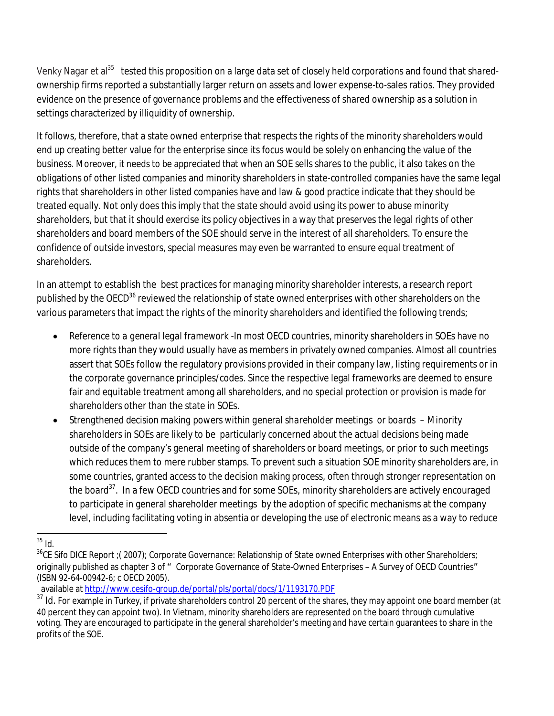Venky Nagar et al<sup>35</sup> tested this proposition on a large data set of closely held corporations and found that sharedownership firms reported a substantially larger return on assets and lower expense-to-sales ratios. They provided evidence on the presence of governance problems and the effectiveness of shared ownership as a solution in settings characterized by illiquidity of ownership.

It follows, therefore, that a state owned enterprise that respects the rights of the minority shareholders would end up creating better value for the enterprise since its focus would be solely on enhancing the value of the business. Moreover, it needs to be appreciated that when an SOE sells shares to the public, it also takes on the obligations of other listed companies and minority shareholders in state-controlled companies have the same legal rights that shareholders in other listed companies have and law & good practice indicate that they should be treated equally. Not only does this imply that the state should avoid using its power to abuse minority shareholders, but that it should exercise its policy objectives in a way that preserves the legal rights of other shareholders and board members of the SOE should serve in the interest of all shareholders. To ensure the confidence of outside investors, special measures may even be warranted to ensure equal treatment of shareholders.

In an attempt to establish the best practices for managing minority shareholder interests, a research report published by the OECD<sup>36</sup> reviewed the relationship of state owned enterprises with other shareholders on the various parameters that impact the rights of the minority shareholders and identified the following trends;

- *Reference to a general legal framework* -In most OECD countries, minority shareholders in SOEs have no more rights than they would usually have as members in privately owned companies. Almost all countries assert that SOEs follow the regulatory provisions provided in their company law, listing requirements or in the corporate governance principles/codes. Since the respective legal frameworks are deemed to ensure fair and equitable treatment among all shareholders, and no special protection or provision is made for shareholders other than the state in SOEs.
- *Strengthened decision making powers within general shareholder meetings or boards* Minority shareholders in SOEs are likely to be particularly concerned about the actual decisions being made outside of the company's general meeting of shareholders or board meetings, or prior to such meetings which reduces them to mere rubber stamps. To prevent such a situation SOE minority shareholders are, in some countries, granted access to the decision making process, often through stronger representation on the board<sup>37</sup>. In a few OECD countries and for some SOEs, minority shareholders are actively encouraged to participate in general shareholder meetings by the adoption of specific mechanisms at the company level, including facilitating voting in absentia or developing the use of electronic means as a way to reduce

 $\overline{a}$  $35$  Id.

 $36$ CE Sifo DICE Report ; (2007); Corporate Governance: Relationship of State owned Enterprises with other Shareholders; originally published as chapter 3 of " Corporate Governance of State-Owned Enterprises - A Survey of OECD Countries" (ISBN 92-64-00942-6; c OECD 2005).

available at http://www.cesifo-group.de/portal/pls/portal/docs/1/1193170.PDF

<sup>&</sup>lt;sup>37</sup> Id. For example in Turkey, if private shareholders control 20 percent of the shares, they may appoint one board member (at 40 percent they can appoint two). In Vietnam, minority shareholders are represented on the board through cumulative voting. They are encouraged to participate in the general shareholder's meeting and have certain guarantees to share in the profits of the SOE.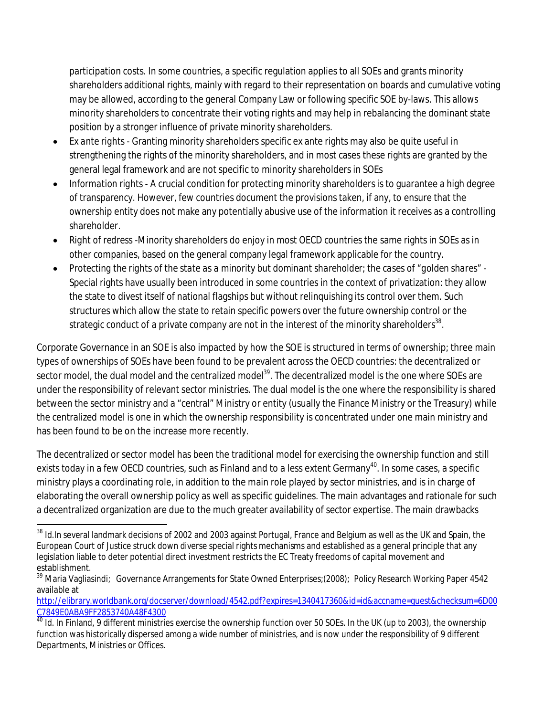participation costs. In some countries, a specific regulation applies to all SOEs and grants minority shareholders additional rights, mainly with regard to their representation on boards and cumulative voting may be allowed, according to the general Company Law or following specific SOE by-laws. This allows minority shareholders to concentrate their voting rights and may help in rebalancing the dominant state position by a stronger influence of private minority shareholders.

- *Ex ante rights* Granting minority shareholders specific ex ante rights may also be quite useful in strengthening the rights of the minority shareholders, and in most cases these rights are granted by the general legal framework and are not specific to minority shareholders in SOEs
- *Information rights* A crucial condition for protecting minority shareholders is to guarantee a high degree of transparency. However, few countries document the provisions taken, if any, to ensure that the ownership entity does not make any potentially abusive use of the information it receives as a controlling shareholder.
- *Right of redress* -Minority shareholders do enjoy in most OECD countries the same rights in SOEs as in other companies, based on the general company legal framework applicable for the country.
- *Protecting the rights of the state as a minority but dominant shareholder; the cases of "golden shares"* Special rights have usually been introduced in some countries in the context of privatization: they allow the state to divest itself of national flagships but without relinquishing its control over them. Such structures which allow the state to retain specific powers over the future ownership control or the strategic conduct of a private company are not in the interest of the minority shareholders $^{\rm 38}.$

Corporate Governance in an SOE is also impacted by how the SOE is structured in terms of ownership; three main types of ownerships of SOEs have been found to be prevalent across the OECD countries: the decentralized or sector model, the dual model and the centralized model<sup>39</sup>. The decentralized model is the one where SOEs are under the responsibility of relevant sector ministries. The dual model is the one where the responsibility is shared between the sector ministry and a "central" Ministry or entity (usually the Finance Ministry or the Treasury) while the centralized model is one in which the ownership responsibility is concentrated under one main ministry and has been found to be on the increase more recently.

The decentralized or sector model has been the traditional model for exercising the ownership function and still exists today in a few OECD countries, such as Finland and to a less extent Germany<sup>40</sup>. In some cases, a specific ministry plays a coordinating role, in addition to the main role played by sector ministries, and is in charge of elaborating the overall ownership policy as well as specific guidelines. The main advantages and rationale for such a decentralized organization are due to the much greater availability of sector expertise. The main drawbacks

 $\overline{a}$ 

http://elibrary.worldbank.org/docserver/download/4542.pdf?expires=1340417360&id=id&accname=guest&checksum=6D00 C7849E0ABA9FF2853740A48F4300

 $^\mathrm{38}$  Id.In several landmark decisions of 2002 and 2003 against Portugal, France and Belgium as well as the UK and Spain, the European Court of Justice struck down diverse special rights mechanisms and established as a general principle that any legislation liable to deter potential direct investment restricts the EC Treaty freedoms of capital movement and establishment.

<sup>&</sup>lt;sup>39</sup> Maria Vagliasindi; Governance Arrangements for State Owned Enterprises;(2008); Policy Research Working Paper 4542 available at

<sup>&</sup>lt;sup>40</sup> Id. In Finland, 9 different ministries exercise the ownership function over 50 SOEs. In the UK (up to 2003), the ownership function was historically dispersed among a wide number of ministries, and is now under the responsibility of 9 different Departments, Ministries or Offices.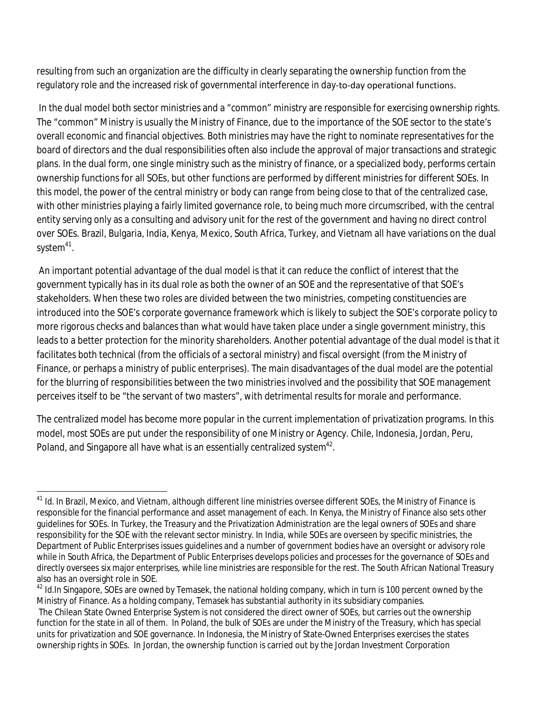resulting from such an organization are the difficulty in clearly separating the ownership function from the regulatory role and the increased risk of governmental interference in day‐to‐day operational functions.

In the dual model both sector ministries and a "common" ministry are responsible for exercising ownership rights. The "common" Ministry is usually the Ministry of Finance, due to the importance of the SOE sector to the state's overall economic and financial objectives. Both ministries may have the right to nominate representatives for the board of directors and the dual responsibilities often also include the approval of major transactions and strategic plans. In the dual form, one single ministry such as the ministry of finance, or a specialized body, performs certain ownership functions for all SOEs, but other functions are performed by different ministries for different SOEs. In this model, the power of the central ministry or body can range from being close to that of the centralized case, with other ministries playing a fairly limited governance role, to being much more circumscribed, with the central entity serving only as a consulting and advisory unit for the rest of the government and having no direct control over SOEs. Brazil, Bulgaria, India, Kenya, Mexico, South Africa, Turkey, and Vietnam all have variations on the dual system<sup>41</sup>.

An important potential advantage of the dual model is that it can reduce the conflict of interest that the government typically has in its dual role as both the owner of an SOE and the representative of that SOE's stakeholders. When these two roles are divided between the two ministries, competing constituencies are introduced into the SOE's corporate governance framework which is likely to subject the SOE's corporate policy to more rigorous checks and balances than what would have taken place under a single government ministry, this leads to a better protection for the minority shareholders. Another potential advantage of the dual model is that it facilitates both technical (from the officials of a sectoral ministry) and fiscal oversight (from the Ministry of Finance, or perhaps a ministry of public enterprises). The main disadvantages of the dual model are the potential for the blurring of responsibilities between the two ministries involved and the possibility that SOE management perceives itself to be "the servant of two masters", with detrimental results for morale and performance.

The centralized model has become more popular in the current implementation of privatization programs. In this model, most SOEs are put under the responsibility of one Ministry or Agency. Chile, Indonesia, Jordan, Peru, Poland, and Singapore all have what is an essentially centralized system $^{\rm 42}.$ 

 $\overline{a}$ <sup>41</sup> Id. In Brazil, Mexico, and Vietnam, although different line ministries oversee different SOEs, the Ministry of Finance is responsible for the financial performance and asset management of each. In Kenya, the Ministry of Finance also sets other guidelines for SOEs. In Turkey, the Treasury and the Privatization Administration are the legal owners of SOEs and share responsibility for the SOE with the relevant sector ministry. In India, while SOEs are overseen by specific ministries, the Department of Public Enterprises issues guidelines and a number of government bodies have an oversight or advisory role while in South Africa, the Department of Public Enterprises develops policies and processes for the governance of SOEs and directly oversees six major enterprises, while line ministries are responsible for the rest. The South African National Treasury also has an oversight role in SOE.

 $42$  Id.In Singapore, SOEs are owned by Temasek, the national holding company, which in turn is 100 percent owned by the Ministry of Finance. As a holding company, Temasek has substantial authority in its subsidiary companies. The Chilean State Owned Enterprise System is not considered the direct owner of SOEs, but carries out the ownership function for the state in all of them. In Poland, the bulk of SOEs are under the Ministry of the Treasury, which has special units for privatization and SOE governance. In Indonesia, the Ministry of State-Owned Enterprises exercises the states ownership rights in SOEs. In Jordan, the ownership function is carried out by the Jordan Investment Corporation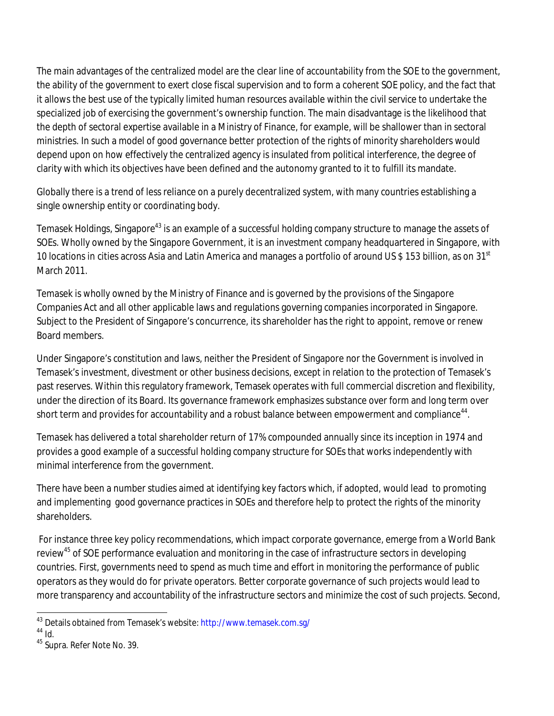The main advantages of the centralized model are the clear line of accountability from the SOE to the government, the ability of the government to exert close fiscal supervision and to form a coherent SOE policy, and the fact that it allows the best use of the typically limited human resources available within the civil service to undertake the specialized job of exercising the government's ownership function. The main disadvantage is the likelihood that the depth of sectoral expertise available in a Ministry of Finance, for example, will be shallower than in sectoral ministries. In such a model of good governance better protection of the rights of minority shareholders would depend upon on how effectively the centralized agency is insulated from political interference, the degree of clarity with which its objectives have been defined and the autonomy granted to it to fulfill its mandate.

Globally there is a trend of less reliance on a purely decentralized system, with many countries establishing a single ownership entity or coordinating body.

Temasek Holdings, Singapore<sup>43</sup> is an example of a successful holding company structure to manage the assets of SOEs. Wholly owned by the Singapore Government, it is an investment company headquartered in Singapore, with 10 locations in cities across Asia and Latin America and manages a portfolio of around US \$ 153 billion, as on 31<sup>st</sup> March 2011.

Temasek is wholly owned by the Ministry of Finance and is governed by the provisions of the Singapore Companies Act and all other applicable laws and regulations governing companies incorporated in Singapore. Subject to the President of Singapore's concurrence, its shareholder has the right to appoint, remove or renew Board members.

Under Singapore's constitution and laws, neither the President of Singapore nor the Government is involved in Temasek's investment, divestment or other business decisions, except in relation to the protection of Temasek's past reserves. Within this regulatory framework, Temasek operates with full commercial discretion and flexibility, under the direction of its Board. Its governance framework emphasizes substance over form and long term over short term and provides for accountability and a robust balance between empowerment and compliance $^{\rm 44}.$ 

Temasek has delivered a total shareholder return of 17% compounded annually since its inception in 1974 and provides a good example of a successful holding company structure for SOEs that works independently with minimal interference from the government.

There have been a number studies aimed at identifying key factors which, if adopted, would lead to promoting and implementing good governance practices in SOEs and therefore help to protect the rights of the minority shareholders.

For instance three key policy recommendations, which impact corporate governance, emerge from a World Bank review<sup>45</sup> of SOE performance evaluation and monitoring in the case of infrastructure sectors in developing countries. First, governments need to spend as much time and effort in monitoring the performance of public operators as they would do for private operators. Better corporate governance of such projects would lead to more transparency and accountability of the infrastructure sectors and minimize the cost of such projects. Second,

 $\overline{a}$ 

<sup>&</sup>lt;sup>43</sup> Details obtained from Temasek's website: http://www.temasek.com.sg/

 $44 \overline{1d}$ 

<sup>&</sup>lt;sup>45</sup> Supra. Refer Note No. 39.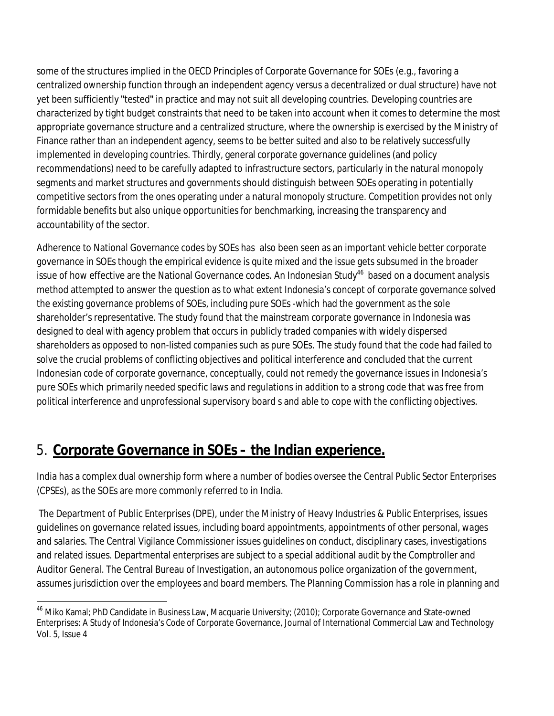some of the structures implied in the OECD Principles of Corporate Governance for SOEs (e.g., favoring a centralized ownership function through an independent agency versus a decentralized or dual structure) have not yet been sufficiently "tested" in practice and may not suit all developing countries. Developing countries are characterized by tight budget constraints that need to be taken into account when it comes to determine the most appropriate governance structure and a centralized structure, where the ownership is exercised by the Ministry of Finance rather than an independent agency, seems to be better suited and also to be relatively successfully implemented in developing countries. Thirdly, general corporate governance guidelines (and policy recommendations) need to be carefully adapted to infrastructure sectors, particularly in the natural monopoly segments and market structures and governments should distinguish between SOEs operating in potentially competitive sectors from the ones operating under a natural monopoly structure. Competition provides not only formidable benefits but also unique opportunities for benchmarking, increasing the transparency and accountability of the sector.

Adherence to National Governance codes by SOEs has also been seen as an important vehicle better corporate governance in SOEs though the empirical evidence is quite mixed and the issue gets subsumed in the broader issue of how effective are the National Governance codes. An Indonesian Study<sup>46</sup> based on a document analysis method attempted to answer the question as to what extent Indonesia's concept of corporate governance solved the existing governance problems of SOEs, including pure SOEs -which had the government as the sole shareholder's representative. The study found that the mainstream corporate governance in Indonesia was designed to deal with agency problem that occurs in publicly traded companies with widely dispersed shareholders as opposed to non-listed companies such as pure SOEs. The study found that the code had failed to solve the crucial problems of conflicting objectives and political interference and concluded that the current Indonesian code of corporate governance, conceptually, could not remedy the governance issues in Indonesia's pure SOEs which primarily needed specific laws and regulations in addition to a strong code that was free from political interference and unprofessional supervisory board s and able to cope with the conflicting objectives.

### 5. **Corporate Governance in SOEs – the Indian experience.**

India has a complex dual ownership form where a number of bodies oversee the Central Public Sector Enterprises (CPSEs), as the SOEs are more commonly referred to in India.

The Department of Public Enterprises (DPE), under the Ministry of Heavy Industries & Public Enterprises, issues guidelines on governance related issues, including board appointments, appointments of other personal, wages and salaries. The Central Vigilance Commissioner issues guidelines on conduct, disciplinary cases, investigations and related issues. Departmental enterprises are subject to a special additional audit by the Comptroller and Auditor General. The Central Bureau of Investigation, an autonomous police organization of the government, assumes jurisdiction over the employees and board members. The Planning Commission has a role in planning and

 $\overline{a}$ <sup>46</sup> Miko Kamal; PhD Candidate in Business Law, Macquarie University; (2010); Corporate Governance and State-owned Enterprises: A Study of Indonesia's Code of Corporate Governance, Journal of International Commercial Law and Technology Vol. 5, Issue 4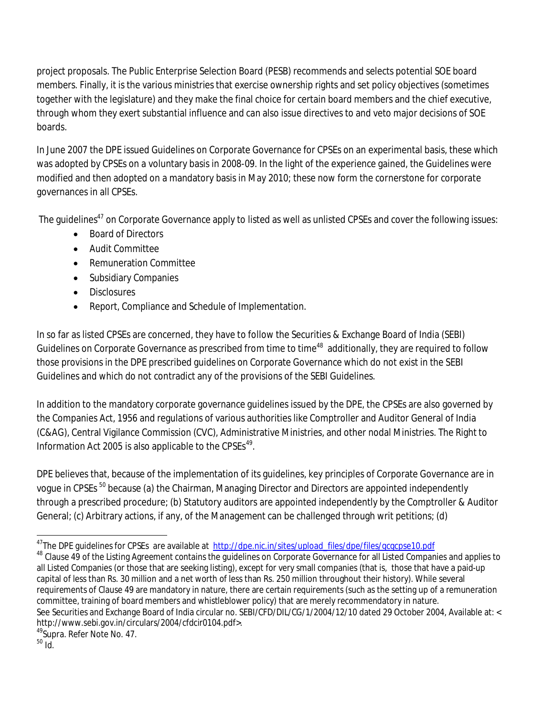project proposals. The Public Enterprise Selection Board (PESB) recommends and selects potential SOE board members. Finally, it is the various ministries that exercise ownership rights and set policy objectives (sometimes together with the legislature) and they make the final choice for certain board members and the chief executive, through whom they exert substantial influence and can also issue directives to and veto major decisions of SOE boards.

In June 2007 the DPE issued Guidelines on Corporate Governance for CPSEs on an experimental basis, these which was adopted by CPSEs on a voluntary basis in 2008-09. In the light of the experience gained, the Guidelines were modified and then adopted on a mandatory basis in May 2010; these now form the cornerstone for corporate governances in all CPSEs.

The guidelines<sup>47</sup> on Corporate Governance apply to listed as well as unlisted CPSEs and cover the following issues:

- Board of Directors
- Audit Committee
- Remuneration Committee
- Subsidiary Companies
- Disclosures
- Report, Compliance and Schedule of Implementation.

In so far as listed CPSEs are concerned, they have to follow the Securities & Exchange Board of India (SEBI) Guidelines on Corporate Governance as prescribed from time to time $^{48}\,$  additionally, they are required to follow those provisions in the DPE prescribed guidelines on Corporate Governance which do not exist in the SEBI Guidelines and which do not contradict any of the provisions of the SEBI Guidelines.

In addition to the mandatory corporate governance guidelines issued by the DPE, the CPSEs are also governed by the Companies Act, 1956 and regulations of various authorities like Comptroller and Auditor General of India (C&AG), Central Vigilance Commission (CVC), Administrative Ministries, and other nodal Ministries. The Right to Information Act 2005 is also applicable to the  $\text{CPSEs}^{49}$ .

DPE believes that, because of the implementation of its guidelines, key principles of Corporate Governance are in vogue in CPSEs<sup>50</sup> because (a) the Chairman, Managing Director and Directors are appointed independently through a prescribed procedure; (b) Statutory auditors are appointed independently by the Comptroller & Auditor General; (c) Arbitrary actions, if any, of the Management can be challenged through writ petitions; (d)

 $\overline{a}$ 

<sup>&</sup>lt;sup>47</sup>The DPE guidelines for CPSEs are available at <u>http://dpe.nic.in/sites/upload\_files/dpe/files/gcgcpse10.pdf</u>

<sup>48</sup> Clause 49 of the Listing Agreement contains the guidelines on Corporate Governance for all Listed Companies and applies to all Listed Companies (or those that are seeking listing), except for very small companies (that is, those that have a paid-up capital of less than Rs. 30 million and a net worth of less than Rs. 250 million throughout their history). While several requirements of Clause 49 are mandatory in nature, there are certain requirements (such as the setting up of a remuneration committee, training of board members and whistleblower policy) that are merely recommendatory in nature. See Securities and Exchange Board of India circular no. SEBI/CFD/DIL/CG/1/2004/12/10 dated 29 October 2004, Available at: < http://www.sebi.gov.in/circulars/2004/cfdcir0104.pdf>.

 $50$  Id.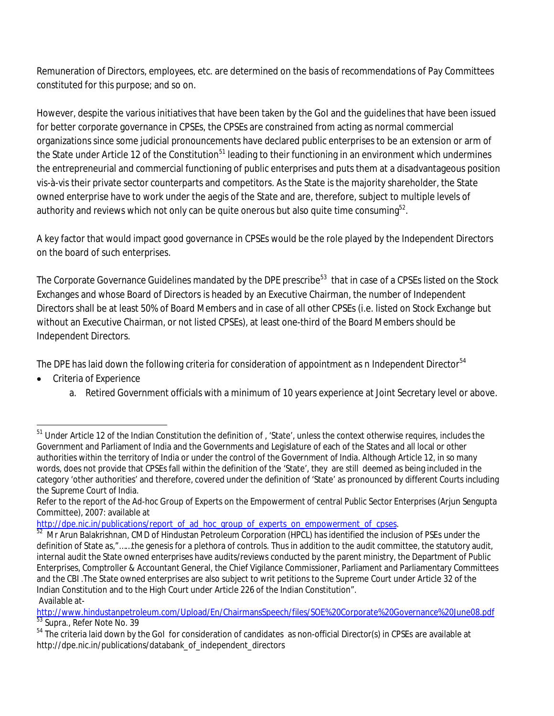Remuneration of Directors, employees, etc. are determined on the basis of recommendations of Pay Committees constituted for this purpose; and so on.

However, despite the various initiatives that have been taken by the GoI and the guidelines that have been issued for better corporate governance in CPSEs, the CPSEs are constrained from acting as normal commercial organizations since some judicial pronouncements have declared public enterprises to be an extension or arm of the State under Article 12 of the Constitution<sup>51</sup> leading to their functioning in an environment which undermines the entrepreneurial and commercial functioning of public enterprises and puts them at a disadvantageous position vis-à-vis their private sector counterparts and competitors. As the State is the majority shareholder, the State owned enterprise have to work under the aegis of the State and are, therefore, subject to multiple levels of authority and reviews which not only can be quite onerous but also quite time consuming $^{52}.$ 

A key factor that would impact good governance in CPSEs would be the role played by the Independent Directors on the board of such enterprises.

The Corporate Governance Guidelines mandated by the DPE prescribe $^{53}\,$  that in case of a CPSEs listed on the Stock Exchanges and whose Board of Directors is headed by an Executive Chairman, the number of Independent Directors shall be at least 50% of Board Members and in case of all other CPSEs (i.e. listed on Stock Exchange but without an Executive Chairman, or not listed CPSEs), at least one-third of the Board Members should be Independent Directors.

The DPE has laid down the following criteria for consideration of appointment as n Independent Director<sup>54</sup>

- Criteria of Experience
	- a. Retired Government officials with a minimum of 10 years experience at Joint Secretary level or above.

http://dpe.nic.in/publications/report\_of\_ad\_hoc\_group\_of\_experts\_on\_empowerment\_of\_cpses.

 $\overline{a}$  $^{51}$  Under Article 12 of the Indian Constitution the definition of , 'State', unless the context otherwise requires, includes the Government and Parliament of India and the Governments and Legislature of each of the States and all local or other authorities within the territory of India or under the control of the Government of India. Although Article 12, in so many words, does not provide that CPSEs fall within the definition of the 'State', they are still deemed as being included in the category 'other authorities' and therefore, covered under the definition of 'State' as pronounced by different Courts including the Supreme Court of India.

Refer to the report of the Ad-hoc Group of Experts on the Empowerment of central Public Sector Enterprises (Arjun Sengupta Committee), 2007: available at

<sup>&</sup>lt;sup>52</sup> Mr Arun Balakrishnan, CMD of Hindustan Petroleum Corporation (HPCL) has identified the inclusion of PSEs under the definition of State as,"……the genesis for a plethora of controls. Thus in addition to the audit committee, the statutory audit, internal audit the State owned enterprises have audits/reviews conducted by the parent ministry, the Department of Public Enterprises, Comptroller & Accountant General, the Chief Vigilance Commissioner, Parliament and Parliamentary Committees and the CBI .The State owned enterprises are also subject to writ petitions to the Supreme Court under Article 32 of the Indian Constitution and to the High Court under Article 226 of the Indian Constitution". Available at-

http://www.hindustanpetroleum.com/Upload/En/ChairmansSpeech/files/SOE%20Corporate%20Governance%20June08.pdf 53 Supra., Refer Note No. 39

<sup>&</sup>lt;sup>54</sup> The criteria laid down by the GoI for consideration of candidates as non-official Director(s) in CPSEs are available at http://dpe.nic.in/publications/databank\_of\_independent\_directors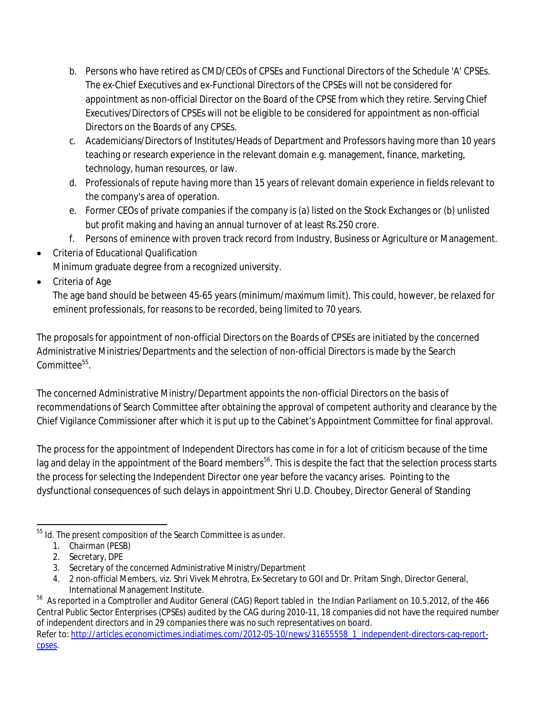- b. Persons who have retired as CMD/CEOs of CPSEs and Functional Directors of the Schedule 'A' CPSEs. The ex-Chief Executives and ex-Functional Directors of the CPSEs will not be considered for appointment as non-official Director on the Board of the CPSE from which they retire. Serving Chief Executives/Directors of CPSEs will not be eligible to be considered for appointment as non-official Directors on the Boards of any CPSEs.
- c. Academicians/Directors of Institutes/Heads of Department and Professors having more than 10 years teaching or research experience in the relevant domain e.g. management, finance, marketing, technology, human resources, or law.
- d. Professionals of repute having more than 15 years of relevant domain experience in fields relevant to the company's area of operation.
- e. Former CEOs of private companies if the company is (a) listed on the Stock Exchanges or (b) unlisted but profit making and having an annual turnover of at least Rs.250 crore.
- f. Persons of eminence with proven track record from Industry, Business or Agriculture or Management.
- Criteria of Educational Qualification
- Minimum graduate degree from a recognized university.
- Criteria of Age

The age band should be between 45-65 years (minimum/maximum limit). This could, however, be relaxed for eminent professionals, for reasons to be recorded, being limited to 70 years.

The proposals for appointment of non-official Directors on the Boards of CPSEs are initiated by the concerned Administrative Ministries/Departments and the selection of non-official Directors is made by the Search Committee<sup>55</sup>.

The concerned Administrative Ministry/Department appoints the non-official Directors on the basis of recommendations of Search Committee after obtaining the approval of competent authority and clearance by the Chief Vigilance Commissioner after which it is put up to the Cabinet's Appointment Committee for final approval.

The process for the appointment of Independent Directors has come in for a lot of criticism because of the time lag and delay in the appointment of the Board members<sup>56</sup>. This is despite the fact that the selection process starts the process for selecting the Independent Director one year before the vacancy arises. Pointing to the dysfunctional consequences of such delays in appointment Shri U.D. Choubey, Director General of Standing

 $\overline{a}$  $55$  Id. The present composition of the Search Committee is as under.

<sup>1.</sup> Chairman (PESB)

<sup>2.</sup> Secretary, DPE

<sup>3.</sup> Secretary of the concerned Administrative Ministry/Department

<sup>4.</sup> 2 non-official Members, viz. Shri Vivek Mehrotra, Ex-Secretary to GOI and Dr. Pritam Singh, Director General, International Management Institute.

 $^{56}$  As reported in a Comptroller and Auditor General (CAG) Report tabled in the Indian Parliament on 10.5.2012, of the 466 Central Public Sector Enterprises (CPSEs) audited by the CAG during 2010-11, 18 companies did not have the required number of independent directors and in 29 companies there was no such representatives on board. Refer to: http://articles.economictimes.indiatimes.com/2012-05-10/news/31655558\_1\_independent-directors-cag-reportcpses.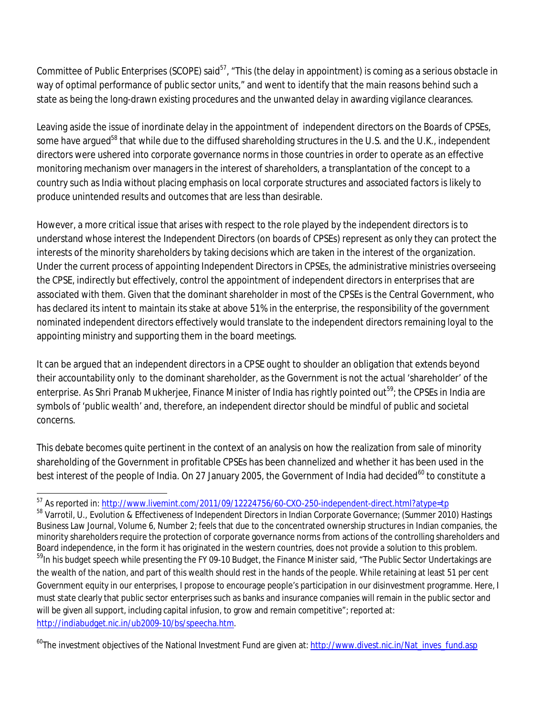Committee of Public Enterprises (SCOPE) said<sup>57</sup>, "This (the delay in appointment) is coming as a serious obstacle in way of optimal performance of public sector units," and went to identify that the main reasons behind such a state as being the long-drawn existing procedures and the unwanted delay in awarding vigilance clearances.

Leaving aside the issue of inordinate delay in the appointment of independent directors on the Boards of CPSEs, some have argued<sup>58</sup> that while due to the diffused shareholding structures in the U.S. and the U.K., independent directors were ushered into corporate governance norms in those countries in order to operate as an effective monitoring mechanism over managers in the interest of shareholders, a transplantation of the concept to a country such as India without placing emphasis on local corporate structures and associated factors is likely to produce unintended results and outcomes that are less than desirable.

However, a more critical issue that arises with respect to the role played by the independent directors is to understand whose interest the Independent Directors (on boards of CPSEs) represent as only they can protect the interests of the minority shareholders by taking decisions which are taken in the interest of the organization. Under the current process of appointing Independent Directors in CPSEs, the administrative ministries overseeing the CPSE, indirectly but effectively, control the appointment of independent directors in enterprises that are associated with them. Given that the dominant shareholder in most of the CPSEs is the Central Government, who has declared its intent to maintain its stake at above 51% in the enterprise, the responsibility of the government nominated independent directors effectively would translate to the independent directors remaining loyal to the appointing ministry and supporting them in the board meetings.

It can be argued that an independent directors in a CPSE ought to shoulder an obligation that extends beyond their accountability only to the dominant shareholder, as the Government is not the actual 'shareholder' of the enterprise. As Shri Pranab Mukherjee, Finance Minister of India has rightly pointed out<sup>59</sup>; the CPSEs in India are symbols of 'public wealth' and, therefore, an independent director should be mindful of public and societal concerns.

This debate becomes quite pertinent in the context of an analysis on how the realization from sale of minority shareholding of the Government in profitable CPSEs has been channelized and whether it has been used in the best interest of the people of India. On 27 January 2005, the Government of India had decided<sup>60</sup> to constitute a

<sup>60</sup>The investment objectives of the National Investment Fund are given at: http://www.divest.nic.in/Nat\_inves\_fund.asp

 $\overline{a}$ <sup>57</sup> As reported in: <u>http://www.livemint.com/2011/09/12224756/60-CXO-250-independent-direct.html?atype=tp</u>

<sup>58</sup> Varrotil, U., Evolution & Effectiveness of Independent Directors in Indian Corporate Governance; (Summer 2010) Hastings Business Law Journal, Volume 6, Number 2; feels that due to the concentrated ownership structures in Indian companies, the minority shareholders require the protection of corporate governance norms from actions of the controlling shareholders and Board independence, in the form it has originated in the western countries, does not provide a solution to this problem. <sup>59</sup>In his budget speech while presenting the FY 09-10 Budget, the Finance Minister said, "The Public Sector Undertakings are the wealth of the nation, and part of this wealth should rest in the hands of the people. While retaining at least 51 per cent Government equity in our enterprises, I propose to encourage people's participation in our disinvestment programme. Here, I must state clearly that public sector enterprises such as banks and insurance companies will remain in the public sector and will be given all support, including capital infusion, to grow and remain competitive"; reported at: http://indiabudget.nic.in/ub2009-10/bs/speecha.htm.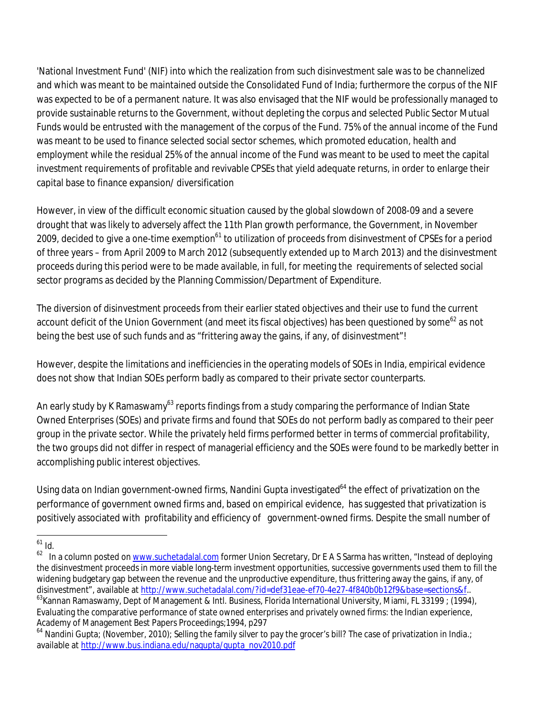'National Investment Fund' (NIF) into which the realization from such disinvestment sale was to be channelized and which was meant to be maintained outside the Consolidated Fund of India; furthermore the corpus of the NIF was expected to be of a permanent nature. It was also envisaged that the NIF would be professionally managed to provide sustainable returns to the Government, without depleting the corpus and selected Public Sector Mutual Funds would be entrusted with the management of the corpus of the Fund. 75% of the annual income of the Fund was meant to be used to finance selected social sector schemes, which promoted education, health and employment while the residual 25% of the annual income of the Fund was meant to be used to meet the capital investment requirements of profitable and revivable CPSEs that yield adequate returns, in order to enlarge their capital base to finance expansion/ diversification

However, in view of the difficult economic situation caused by the global slowdown of 2008-09 and a severe drought that was likely to adversely affect the 11th Plan growth performance, the Government, in November 2009, decided to give a one-time exemption<sup>61</sup> to utilization of proceeds from disinvestment of CPSEs for a period of three years – from April 2009 to March 2012 (subsequently extended up to March 2013) and the disinvestment proceeds during this period were to be made available, in full, for meeting the requirements of selected social sector programs as decided by the Planning Commission/Department of Expenditure.

The diversion of disinvestment proceeds from their earlier stated objectives and their use to fund the current account deficit of the Union Government (and meet its fiscal objectives) has been questioned by some<sup>62</sup> as not being the best use of such funds and as "frittering away the gains, if any, of disinvestment"!

However, despite the limitations and inefficiencies in the operating models of SOEs in India, empirical evidence does not show that Indian SOEs perform badly as compared to their private sector counterparts.

An early study by K Ramaswamy<sup>63</sup> reports findings from a study comparing the performance of Indian State Owned Enterprises (SOEs) and private firms and found that SOEs do not perform badly as compared to their peer group in the private sector. While the privately held firms performed better in terms of commercial profitability, the two groups did not differ in respect of managerial efficiency and the SOEs were found to be markedly better in accomplishing public interest objectives.

Using data on Indian government-owned firms, Nandini Gupta investigated<sup>64</sup> the effect of privatization on the performance of government owned firms and, based on empirical evidence, has suggested that privatization is positively associated with profitability and efficiency of government-owned firms. Despite the small number of

 $\overline{a}$  $^{61}$  Id.

<sup>&</sup>lt;sup>62</sup> In a column posted on www.suchetadalal.com former Union Secretary, Dr E A S Sarma has written, "Instead of deploying the disinvestment proceeds in more viable long-term investment opportunities, successive governments used them to fill the widening budgetary gap between the revenue and the unproductive expenditure, thus frittering away the gains, if any, of disinvestment", available at http://www.suchetadalal.com/?id=def31eae-ef70-4e27-4f840b0b12f9&base=sections&f.. <sup>63</sup>Kannan Ramaswamy, Dept of Management & Intl. Business, Florida International University, Miami, FL 33199 ; (1994), Evaluating the comparative performance of state owned enterprises and privately owned firms: the Indian experience, Academy of Management Best Papers Proceedings;1994, p297

<sup>64</sup> Nandini Gupta; (November, 2010); Selling the family silver to pay the grocer's bill? The case of privatization in India.; available at http://www.bus.indiana.edu/nagupta/gupta\_nov2010.pdf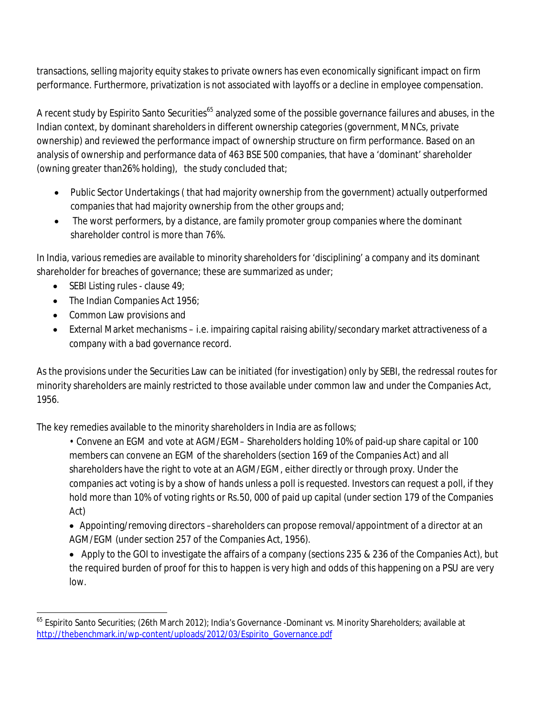transactions, selling majority equity stakes to private owners has even economically significant impact on firm performance. Furthermore, privatization is not associated with layoffs or a decline in employee compensation.

A recent study by Espirito Santo Securities<sup>65</sup> analyzed some of the possible governance failures and abuses, in the Indian context, by dominant shareholders in different ownership categories (government, MNCs, private ownership) and reviewed the performance impact of ownership structure on firm performance. Based on an analysis of ownership and performance data of 463 BSE 500 companies, that have a 'dominant' shareholder (owning greater than26% holding), the study concluded that;

- Public Sector Undertakings ( that had majority ownership from the government) actually outperformed companies that had majority ownership from the other groups and;
- The worst performers, by a distance, are family promoter group companies where the dominant shareholder control is more than 76%.

In India, various remedies are available to minority shareholders for 'disciplining' a company and its dominant shareholder for breaches of governance; these are summarized as under;

- $\bullet$  SEBI Listing rules clause 49;
- The Indian Companies Act 1956;
- Common Law provisions and
- External Market mechanisms i.e. impairing capital raising ability/secondary market attractiveness of a company with a bad governance record.

As the provisions under the Securities Law can be initiated (for investigation) only by SEBI, the redressal routes for minority shareholders are mainly restricted to those available under common law and under the Companies Act, 1956.

The key remedies available to the minority shareholders in India are as follows;

- Convene an EGM and vote at AGM/EGM– Shareholders holding 10% of paid-up share capital or 100 members can convene an EGM of the shareholders (section 169 of the Companies Act) and all shareholders have the right to vote at an AGM/EGM, either directly or through proxy. Under the companies act voting is by a show of hands unless a poll is requested. Investors can request a poll, if they hold more than 10% of voting rights or Rs.50, 000 of paid up capital (under section 179 of the Companies Act)
- Appointing/removing directors –shareholders can propose removal/appointment of a director at an AGM/EGM (under section 257 of the Companies Act, 1956).
- Apply to the GOI to investigate the affairs of a company (sections 235 & 236 of the Companies Act), but the required burden of proof for this to happen is very high and odds of this happening on a PSU are very low.

 $\overline{a}$ <sup>65</sup> Espirito Santo Securities; (26th March 2012); India's Governance -Dominant vs. Minority Shareholders; available at http://thebenchmark.jn/wp-content/uploads/2012/03/Espirito\_Governance.pdf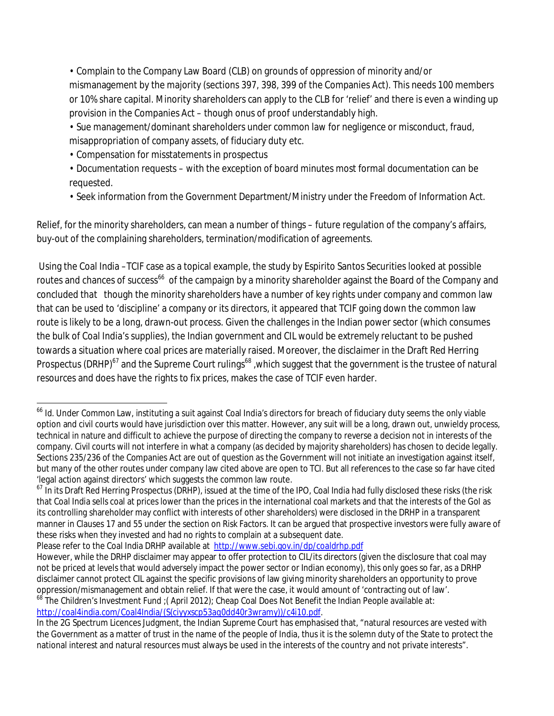• Complain to the Company Law Board (CLB) on grounds of oppression of minority and/or mismanagement by the majority (sections 397, 398, 399 of the Companies Act). This needs 100 members or 10% share capital. Minority shareholders can apply to the CLB for 'relief' and there is even a winding up provision in the Companies Act – though onus of proof understandably high.

• Sue management/dominant shareholders under common law for negligence or misconduct, fraud, misappropriation of company assets, of fiduciary duty etc.

- Compensation for misstatements in prospectus
- Documentation requests with the exception of board minutes most formal documentation can be requested.
- Seek information from the Government Department/Ministry under the Freedom of Information Act.

Relief, for the minority shareholders, can mean a number of things – future regulation of the company's affairs, buy-out of the complaining shareholders, termination/modification of agreements.

Using the Coal India –TCIF case as a topical example, the study by Espirito Santos Securities looked at possible routes and chances of success<sup>66</sup> of the campaign by a minority shareholder against the Board of the Company and concluded that though the minority shareholders have a number of key rights under company and common law that can be used to 'discipline' a company or its directors, it appeared that TCIF going down the common law route is likely to be a long, drawn-out process. Given the challenges in the Indian power sector (which consumes the bulk of Coal India's supplies), the Indian government and CIL would be extremely reluctant to be pushed towards a situation where coal prices are materially raised. Moreover, the disclaimer in the Draft Red Herring Prospectus (DRHP)<sup>67</sup> and the Supreme Court rulings<sup>68</sup> ,which suggest that the government is the trustee of natural resources and does have the rights to fix prices, makes the case of TCIF even harder.

Please refer to the Coal India DRHP available at http://www.sebi.gov.in/dp/coaldrhp.pdf

http://coal4india.com/Coal4India/(S(ciyyxscp53aq0dd40r3wramy))/c4i10.pdf.

 $\overline{\phantom{a}}$ <sup>66</sup> Id. Under Common Law, instituting a suit against Coal India's directors for breach of fiduciary duty seems the only viable option and civil courts would have jurisdiction over this matter. However, any suit will be a long, drawn out, unwieldy process, technical in nature and difficult to achieve the purpose of directing the company to reverse a decision not in interests of the company. Civil courts will not interfere in what a company (as decided by majority shareholders) has chosen to decide legally. Sections 235/236 of the Companies Act are out of question as the Government will not initiate an investigation against itself, but many of the other routes under company law cited above are open to TCI. But all references to the case so far have cited 'legal action against directors' which suggests the common law route.

 $^{67}$  In its Draft Red Herring Prospectus (DRHP), issued at the time of the IPO, Coal India had fully disclosed these risks (the risk that Coal India sells coal at prices lower than the prices in the international coal markets and that the interests of the GoI as its controlling shareholder may conflict with interests of other shareholders) were disclosed in the DRHP in a transparent manner in Clauses 17 and 55 under the section on Risk Factors. It can be argued that prospective investors were fully aware of these risks when they invested and had no rights to complain at a subsequent date.

However, while the DRHP disclaimer may appear to offer protection to CIL/its directors (given the disclosure that coal may not be priced at levels that would adversely impact the power sector or Indian economy), this only goes so far, as a DRHP disclaimer cannot protect CIL against the specific provisions of law giving minority shareholders an opportunity to prove oppression/mismanagement and obtain relief. If that were the case, it would amount of 'contracting out of law'. The Children's Investment Fund ;(April 2012); Cheap Coal Does Not Benefit the Indian People available at:

In the 2G Spectrum Licences Judgment, the Indian Supreme Court has emphasised that, "natural resources are vested with the Government as a matter of trust in the name of the people of India, thus it is the solemn duty of the State to protect the national interest and natural resources must always be used in the interests of the country and not private interests".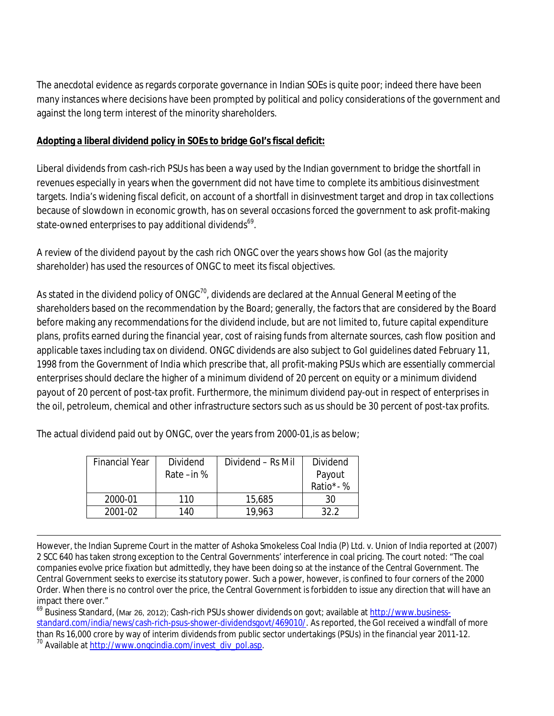The anecdotal evidence as regards corporate governance in Indian SOEs is quite poor; indeed there have been many instances where decisions have been prompted by political and policy considerations of the government and against the long term interest of the minority shareholders.

#### **Adopting a liberal dividend policy in SOEs to bridge GoI's fiscal deficit:**

Liberal dividends from cash-rich PSUs has been a way used by the Indian government to bridge the shortfall in revenues especially in years when the government did not have time to complete its ambitious disinvestment targets. India's widening fiscal deficit, on account of a shortfall in disinvestment target and drop in tax collections because of slowdown in economic growth, has on several occasions forced the government to ask profit-making state-owned enterprises to pay additional dividends<sup>69</sup>.

A review of the dividend payout by the cash rich ONGC over the years shows how GoI (as the majority shareholder) has used the resources of ONGC to meet its fiscal objectives.

As stated in the dividend policy of ONGC $^{70}$ , dividends are declared at the Annual General Meeting of the shareholders based on the recommendation by the Board; generally, the factors that are considered by the Board before making any recommendations for the dividend include, but are not limited to, future capital expenditure plans, profits earned during the financial year, cost of raising funds from alternate sources, cash flow position and applicable taxes including tax on dividend. ONGC dividends are also subject to GoI guidelines dated February 11, 1998 from the Government of India which prescribe that, all profit-making PSUs which are essentially commercial enterprises should declare the higher of a minimum dividend of 20 percent on equity or a minimum dividend payout of 20 percent of post-tax profit. Furthermore, the minimum dividend pay-out in respect of enterprises in the oil, petroleum, chemical and other infrastructure sectors such as us should be 30 percent of post-tax profits.

The actual dividend paid out by ONGC, over the years from 2000-01,is as below;

| <b>Financial Year</b> | Dividend      | Dividend – Rs Mil | Dividend |
|-----------------------|---------------|-------------------|----------|
|                       | Rate $-$ in % |                   | Payout   |
|                       |               |                   | Ratio*-% |
| 2000-01               | 110           | 15,685            | 30       |
| 2001-02               | 140           | 19,963            | 322      |

 $\overline{a}$ However, the Indian Supreme Court in the matter of Ashoka Smokeless Coal India (P) Ltd. v. Union of India reported at (2007) 2 SCC 640 has taken strong exception to the Central Governments' interference in coal pricing. The court noted: "The coal companies evolve price fixation but admittedly, they have been doing so at the instance of the Central Government. The Central Government seeks to exercise its statutory power. Such a power, however, is confined to four corners of the 2000 Order. When there is no control over the price, the Central Government is forbidden to issue any direction that will have an impact there over."

<sup>69</sup> Business Standard, (Mar 26, 2012); Cash-rich PSUs shower dividends on govt; available at http://www.businessstandard.com/india/news/cash-rich-psus-shower-dividendsgovt/469010/. As reported, the GoI received a windfall of more than Rs 16,000 crore by way of interim dividends from public sector undertakings (PSUs) in the financial year 2011-12. 70 Available at http://www.ongcindia.com/invest\_div\_pol.asp.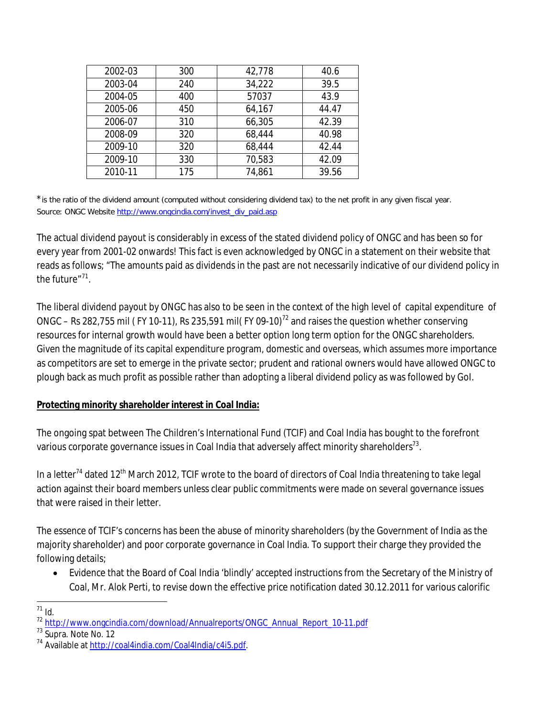| 2002-03 | 300 | 42,778 | 40.6  |
|---------|-----|--------|-------|
| 2003-04 | 240 | 34,222 | 39.5  |
| 2004-05 | 400 | 57037  | 43.9  |
| 2005-06 | 450 | 64,167 | 44.47 |
| 2006-07 | 310 | 66,305 | 42.39 |
| 2008-09 | 320 | 68,444 | 40.98 |
| 2009-10 | 320 | 68,444 | 42.44 |
| 2009-10 | 330 | 70,583 | 42.09 |
| 2010-11 | 175 | 74,861 | 39.56 |

\*is the ratio of the dividend amount (computed without considering dividend tax) to the net profit in any given fiscal year. Source: ONGC Website http://www.ongcindia.com/invest\_div\_paid.asp

The actual dividend payout is considerably in excess of the stated dividend policy of ONGC and has been so for every year from 2001-02 onwards! This fact is even acknowledged by ONGC in a statement on their website that reads as follows; "The amounts paid as dividends in the past are not necessarily indicative of our dividend policy in the future"<sup>71</sup>.

The liberal dividend payout by ONGC has also to be seen in the context of the high level of capital expenditure of ONGC – Rs 282,755 mil (FY 10-11), Rs 235,591 mil(FY 09-10)<sup>72</sup> and raises the question whether conserving resources for internal growth would have been a better option long term option for the ONGC shareholders. Given the magnitude of its capital expenditure program, domestic and overseas, which assumes more importance as competitors are set to emerge in the private sector; prudent and rational owners would have allowed ONGC to plough back as much profit as possible rather than adopting a liberal dividend policy as was followed by GoI.

#### **Protecting minority shareholder interest in Coal India:**

The ongoing spat between The Children's International Fund (TCIF) and Coal India has bought to the forefront various corporate governance issues in Coal India that adversely affect minority shareholders $^{73}.$ 

In a letter<sup>74</sup> dated 12<sup>th</sup> March 2012, TCIF wrote to the board of directors of Coal India threatening to take legal action against their board members unless clear public commitments were made on several governance issues that were raised in their letter.

The essence of TCIF's concerns has been the abuse of minority shareholders (by the Government of India as the majority shareholder) and poor corporate governance in Coal India. To support their charge they provided the following details;

 Evidence that the Board of Coal India 'blindly' accepted instructions from the Secretary of the Ministry of Coal, Mr. Alok Perti, to revise down the effective price notification dated 30.12.2011 for various calorific

 $\overline{a}$  $11$  Id.

<sup>&</sup>lt;sup>72</sup> http://www.ongcindia.com/download/Annualreports/ONGC\_Annual\_Report\_10-11.pdf

<sup>&</sup>lt;sup>73</sup> Supra. Note No. 12

<sup>74</sup> Available at http://coal4india.com/Coal4India/c4i5.pdf.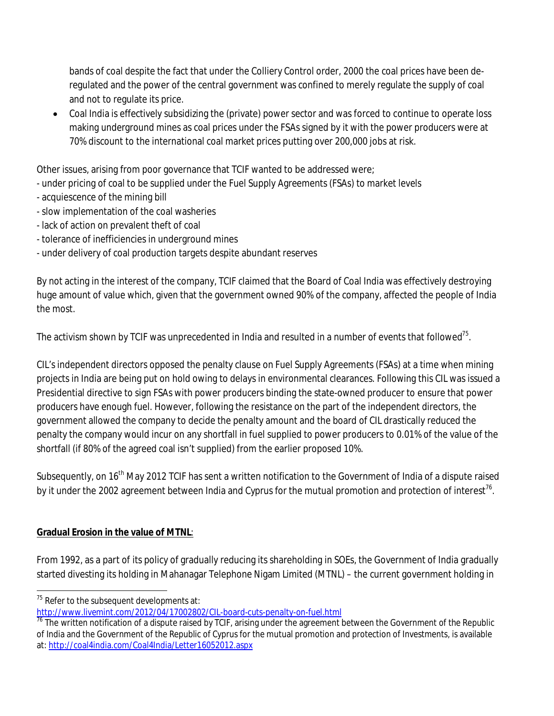bands of coal despite the fact that under the Colliery Control order, 2000 the coal prices have been deregulated and the power of the central government was confined to merely regulate the supply of coal and not to regulate its price.

 Coal India is effectively subsidizing the (private) power sector and was forced to continue to operate loss making underground mines as coal prices under the FSAs signed by it with the power producers were at 70% discount to the international coal market prices putting over 200,000 jobs at risk.

Other issues, arising from poor governance that TCIF wanted to be addressed were;

- under pricing of coal to be supplied under the Fuel Supply Agreements (FSAs) to market levels
- acquiescence of the mining bill
- slow implementation of the coal washeries
- lack of action on prevalent theft of coal
- tolerance of inefficiencies in underground mines
- under delivery of coal production targets despite abundant reserves

By not acting in the interest of the company, TCIF claimed that the Board of Coal India was effectively destroying huge amount of value which, given that the government owned 90% of the company, affected the people of India the most.

The activism shown by TCIF was unprecedented in India and resulted in a number of events that followed<sup>75</sup>.

CIL's independent directors opposed the penalty clause on Fuel Supply Agreements (FSAs) at a time when mining projects in India are being put on hold owing to delays in environmental clearances. Following this CIL was issued a Presidential directive to sign FSAs with power producers binding the state-owned producer to ensure that power producers have enough fuel. However, following the resistance on the part of the independent directors, the government allowed the company to decide the penalty amount and the board of CIL drastically reduced the penalty the company would incur on any shortfall in fuel supplied to power producers to 0.01% of the value of the shortfall (if 80% of the agreed coal isn't supplied) from the earlier proposed 10%.

Subsequently, on 16<sup>th</sup> May 2012 TCIF has sent a written notification to the Government of India of a dispute raised by it under the 2002 agreement between India and Cyprus for the mutual promotion and protection of interest<sup>76</sup>.

### **Gradual Erosion in the value of MTNL**:

From 1992, as a part of its policy of gradually reducing its shareholding in SOEs, the Government of India gradually started divesting its holding in Mahanagar Telephone Nigam Limited (MTNL) – the current government holding in

 $\overline{a}$  $75$  Refer to the subsequent developments at:

http://www.livemint.com/2012/04/17002802/CIL-board-cuts-penalty-on-fuel.html

 $\frac{76}{10}$  The written notification of a dispute raised by TCIF, arising under the agreement between the Government of the Republic of India and the Government of the Republic of Cyprus for the mutual promotion and protection of Investments, is available at: http://coal4india.com/Coal4India/Letter16052012.aspx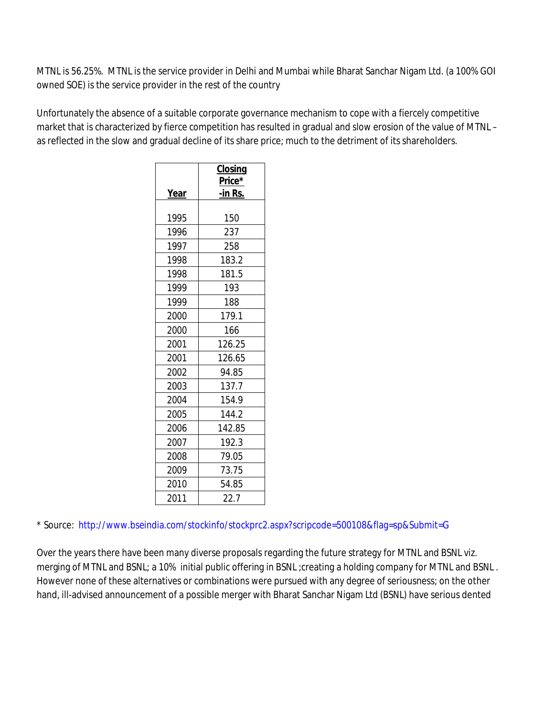MTNL is 56.25%. MTNL is the service provider in Delhi and Mumbai while Bharat Sanchar Nigam Ltd. (a 100% GOI owned SOE) is the service provider in the rest of the country

Unfortunately the absence of a suitable corporate governance mechanism to cope with a fiercely competitive market that is characterized by fierce competition has resulted in gradual and slow erosion of the value of MTNL – as reflected in the slow and gradual decline of its share price; much to the detriment of its shareholders.

|      | <b>Closing</b><br>Price* |  |
|------|--------------------------|--|
| Year | <u>-in Rs.</u>           |  |
|      |                          |  |
| 1995 | 150                      |  |
| 1996 | 237                      |  |
| 1997 | 258                      |  |
| 1998 | 183.2                    |  |
| 1998 | 181.5                    |  |
| 1999 | 193                      |  |
| 1999 | 188                      |  |
| 2000 | 179.1                    |  |
| 2000 | 166                      |  |
| 2001 | 126.25                   |  |
| 2001 | 126.65                   |  |
| 2002 | 94.85                    |  |
| 2003 | 137.7                    |  |
| 2004 | 154.9                    |  |
| 2005 | 144.2                    |  |
| 2006 | 142.85                   |  |
| 2007 | 192.3                    |  |
| 2008 | 79.05                    |  |
| 2009 | 73.75                    |  |
| 2010 | 54.85                    |  |
| 2011 | 22.7                     |  |

\* Source: http://www.bseindia.com/stockinfo/stockprc2.aspx?scripcode=500108&flag=sp&Submit=G

Over the years there have been many diverse proposals regarding the future strategy for MTNL and BSNL viz. merging of MTNL and BSNL; a 10% initial public offering in BSNL ;creating a holding company for MTNL and BSNL . However none of these alternatives or combinations were pursued with any degree of seriousness; on the other hand, ill-advised announcement of a possible merger with Bharat Sanchar Nigam Ltd (BSNL) have serious dented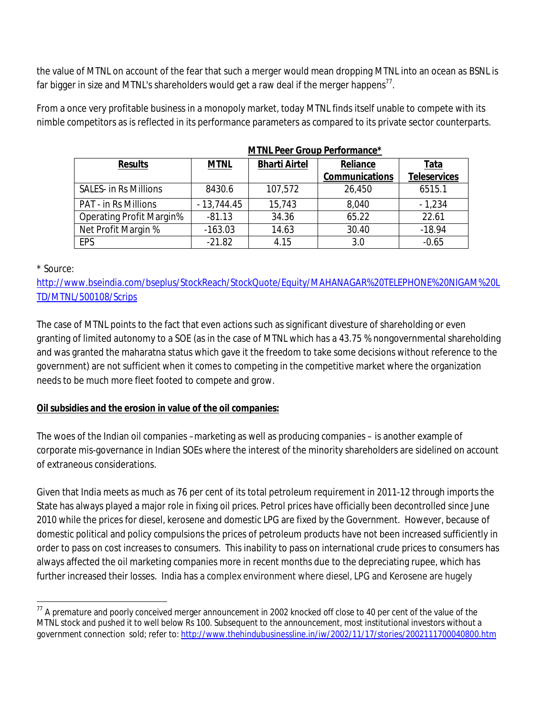the value of MTNL on account of the fear that such a merger would mean dropping MTNL into an ocean as BSNL is far bigger in size and MTNL's shareholders would get a raw deal if the merger happens $^{\prime\prime}.$ 

From a once very profitable business in a monopoly market, today MTNL finds itself unable to compete with its nimble competitors as is reflected in its performance parameters as compared to its private sector counterparts.

|                                 | <b>MTNL Peer Group Performance*</b> |                      |                       |                     |
|---------------------------------|-------------------------------------|----------------------|-----------------------|---------------------|
| <b>Results</b>                  | <b>MTNL</b>                         | <b>Bharti Airtel</b> | Reliance              | <u>Tata</u>         |
|                                 |                                     |                      | <b>Communications</b> | <b>Teleservices</b> |
| <b>SALES- in Rs Millions</b>    | 8430.6                              | 107,572              | 26,450                | 6515.1              |
| <b>PAT - in Rs Millions</b>     | $-13,744.45$                        | 15,743               | 8,040                 | $-1,234$            |
| <b>Operating Profit Margin%</b> | $-81.13$                            | 34.36                | 65.22                 | 22.61               |
| Net Profit Margin %             | $-163.03$                           | 14.63                | 30.40                 | $-18.94$            |
| <b>EPS</b>                      | $-21.82$                            | 4.15                 | 3.0                   | $-0.65$             |

|  |  | <b>MTNL Peer Group Performance</b> |
|--|--|------------------------------------|
|  |  |                                    |

\* Source:

http://www.bseindia.com/bseplus/StockReach/StockQuote/Equity/MAHANAGAR%20TELEPHONE%20NIGAM%20L TD/MTNL/500108/Scrips

The case of MTNL points to the fact that even actions such as significant divesture of shareholding or even granting of limited autonomy to a SOE (as in the case of MTNL which has a 43.75 % nongovernmental shareholding and was granted the maharatna status which gave it the freedom to take some decisions without reference to the government) are not sufficient when it comes to competing in the competitive market where the organization needs to be much more fleet footed to compete and grow.

#### **Oil subsidies and the erosion in value of the oil companies:**

The woes of the Indian oil companies –marketing as well as producing companies – is another example of corporate mis-governance in Indian SOEs where the interest of the minority shareholders are sidelined on account of extraneous considerations.

Given that India meets as much as 76 per cent of its total petroleum requirement in 2011-12 through imports the State has always played a major role in fixing oil prices. Petrol prices have officially been decontrolled since June 2010 while the prices for diesel, kerosene and domestic LPG are fixed by the Government. However, because of domestic political and policy compulsions the prices of petroleum products have not been increased sufficiently in order to pass on cost increases to consumers. This inability to pass on international crude prices to consumers has always affected the oil marketing companies more in recent months due to the depreciating rupee, which has further increased their losses. India has a complex environment where diesel, LPG and Kerosene are hugely

 $\overline{a}$  $^{77}$  A premature and poorly conceived merger announcement in 2002 knocked off close to 40 per cent of the value of the MTNL stock and pushed it to well below Rs 100. Subsequent to the announcement, most institutional investors without a government connection sold; refer to: http://www.thehindubusinessline.in/iw/2002/11/17/stories/2002111700040800.htm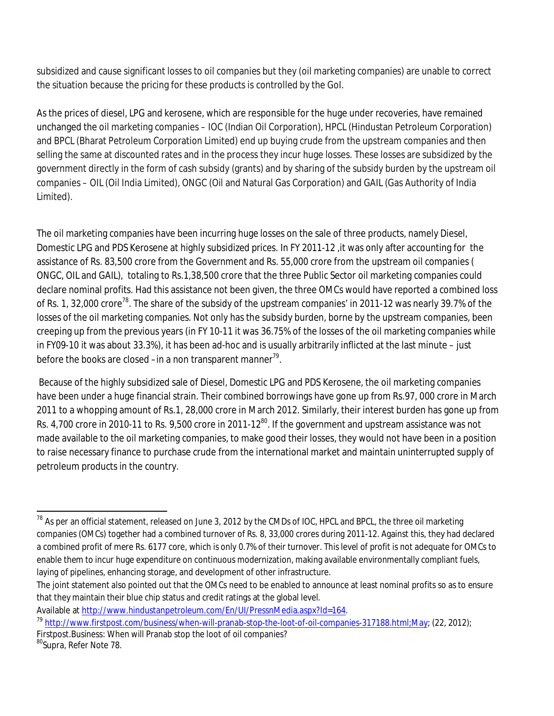subsidized and cause significant losses to oil companies but they (oil marketing companies) are unable to correct the situation because the pricing for these products is controlled by the GoI.

As the prices of diesel, LPG and kerosene, which are responsible for the huge under recoveries, have remained unchanged the oil marketing companies – IOC (Indian Oil Corporation), HPCL (Hindustan Petroleum Corporation) and BPCL (Bharat Petroleum Corporation Limited) end up buying crude from the upstream companies and then selling the same at discounted rates and in the process they incur huge losses. These losses are subsidized by the government directly in the form of cash subsidy (grants) and by sharing of the subsidy burden by the upstream oil companies – OIL (Oil India Limited), ONGC (Oil and Natural Gas Corporation) and GAIL (Gas Authority of India Limited).

The oil marketing companies have been incurring huge losses on the sale of three products, namely Diesel, Domestic LPG and PDS Kerosene at highly subsidized prices. In FY 2011-12 ,it was only after accounting for the assistance of Rs. 83,500 crore from the Government and Rs. 55,000 crore from the upstream oil companies ( ONGC, OIL and GAIL), totaling to Rs.1,38,500 crore that the three Public Sector oil marketing companies could declare nominal profits. Had this assistance not been given, the three OMCs would have reported a combined loss of Rs. 1, 32,000 crore<sup>78</sup>. The share of the subsidy of the upstream companies' in 2011-12 was nearly 39.7% of the losses of the oil marketing companies. Not only has the subsidy burden, borne by the upstream companies, been creeping up from the previous years (in FY 10-11 it was 36.75% of the losses of the oil marketing companies while in FY09-10 it was about 33.3%), it has been ad-hoc and is usually arbitrarily inflicted at the last minute – just before the books are closed –in a non transparent manner $^{79}.$ 

Because of the highly subsidized sale of Diesel, Domestic LPG and PDS Kerosene, the oil marketing companies have been under a huge financial strain. Their combined borrowings have gone up from Rs.97, 000 crore in March 2011 to a whopping amount of Rs.1, 28,000 crore in March 2012. Similarly, their interest burden has gone up from Rs. 4,700 crore in 2010-11 to Rs. 9,500 crore in 2011-12<sup>80</sup>. If the government and upstream assistance was not made available to the oil marketing companies, to make good their losses, they would not have been in a position to raise necessary finance to purchase crude from the international market and maintain uninterrupted supply of petroleum products in the country.

Firstpost.Business: When will Pranab stop the loot of oil companies?

 $\overline{a}$  $^{78}$  As per an official statement, released on June 3, 2012 by the CMDs of IOC, HPCL and BPCL, the three oil marketing companies (OMCs) together had a combined turnover of Rs. 8, 33,000 crores during 2011-12. Against this, they had declared a combined profit of mere Rs. 6177 core, which is only 0.7% of their turnover. This level of profit is not adequate for OMCs to enable them to incur huge expenditure on continuous modernization, making available environmentally compliant fuels, laying of pipelines, enhancing storage, and development of other infrastructure.

The joint statement also pointed out that the OMCs need to be enabled to announce at least nominal profits so as to ensure that they maintain their blue chip status and credit ratings at the global level.

Available at http://www.hindustanpetroleum.com/En/UI/PressnMedia.aspx?Id=164.

<sup>&</sup>lt;sup>79</sup> http://www.firstpost.com/business/when-will-pranab-stop-the-loot-of-oil-companies-317188.html;May; (22, 2012);

<sup>80</sup>Supra, Refer Note 78.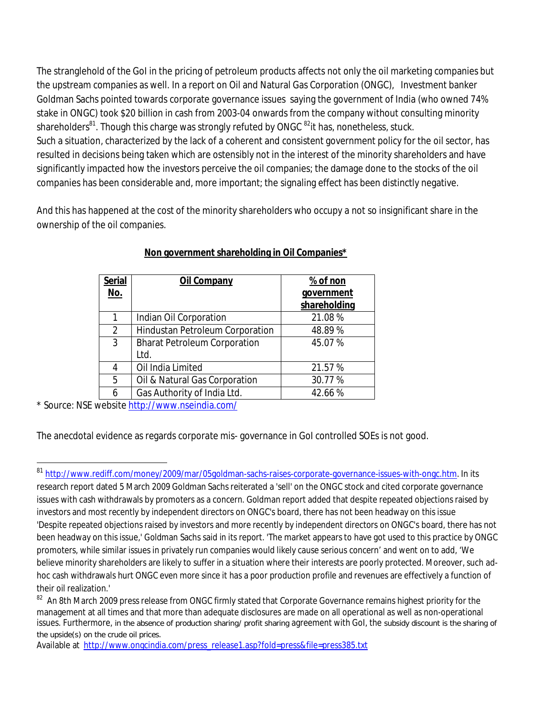The stranglehold of the GoI in the pricing of petroleum products affects not only the oil marketing companies but the upstream companies as well. In a report on Oil and Natural Gas Corporation (ONGC), Investment banker Goldman Sachs pointed towards corporate governance issues saying the government of India (who owned 74% stake in ONGC) took \$20 billion in cash from 2003-04 onwards from the company without consulting minority shareholders<sup>81</sup>. Though this charge was strongly refuted by ONGC <sup>82</sup>it has, nonetheless, stuck. Such a situation, characterized by the lack of a coherent and consistent government policy for the oil sector, has resulted in decisions being taken which are ostensibly not in the interest of the minority shareholders and have significantly impacted how the investors perceive the oil companies; the damage done to the stocks of the oil companies has been considerable and, more important; the signaling effect has been distinctly negative.

And this has happened at the cost of the minority shareholders who occupy a not so insignificant share in the ownership of the oil companies.

| <b>Serial</b>  | <b>Oil Company</b>                  | % of non     |
|----------------|-------------------------------------|--------------|
| <u>No.</u>     |                                     | government   |
|                |                                     | shareholding |
| 1              | Indian Oil Corporation              | 21.08%       |
| $\overline{2}$ | Hindustan Petroleum Corporation     | 48.89%       |
| 3              | <b>Bharat Petroleum Corporation</b> | 45.07%       |
|                | Ltd.                                |              |
| 4              | Oil India Limited                   | 21.57 %      |
| 5              | Oil & Natural Gas Corporation       | 30.77%       |
| 6              | Gas Authority of India Ltd.         | 42.66%       |

#### **Non government shareholding in Oil Companies\***

\* Source: NSE website http://www.nseindia.com/

 $\overline{\phantom{a}}$ 

The anecdotal evidence as regards corporate mis- governance in GoI controlled SOEs is not good.

Available at http://www.ongcindia.com/press\_release1.asp?fold=press&file=press385.txt

<sup>&</sup>lt;sup>81</sup> http://www.rediff.com/money/2009/mar/05goldman-sachs-raises-corporate-governance-issues-with-ongc.htm. In its research report dated 5 March 2009 Goldman Sachs reiterated a 'sell' on the ONGC stock and cited corporate governance issues with cash withdrawals by promoters as a concern. Goldman report added that despite repeated objections raised by investors and most recently by independent directors on ONGC's board, there has not been headway on this issue 'Despite repeated objections raised by investors and more recently by independent directors on ONGC's board, there has not been headway on this issue,' Goldman Sachs said in its report. 'The market appears to have got used to this practice by ONGC promoters, while similar issues in privately run companies would likely cause serious concern' and went on to add, 'We believe minority shareholders are likely to suffer in a situation where their interests are poorly protected. Moreover, such adhoc cash withdrawals hurt ONGC even more since it has a poor production profile and revenues are effectively a function of their oil realization.'

 $^{82}$  An 8th March 2009 press release from ONGC firmly stated that Corporate Governance remains highest priority for the management at all times and that more than adequate disclosures are made on all operational as well as non-operational issues. Furthermore, in the absence of production sharing/ profit sharing agreement with GoI, the subsidy discount is the sharing of the upside(s) on the crude oil prices.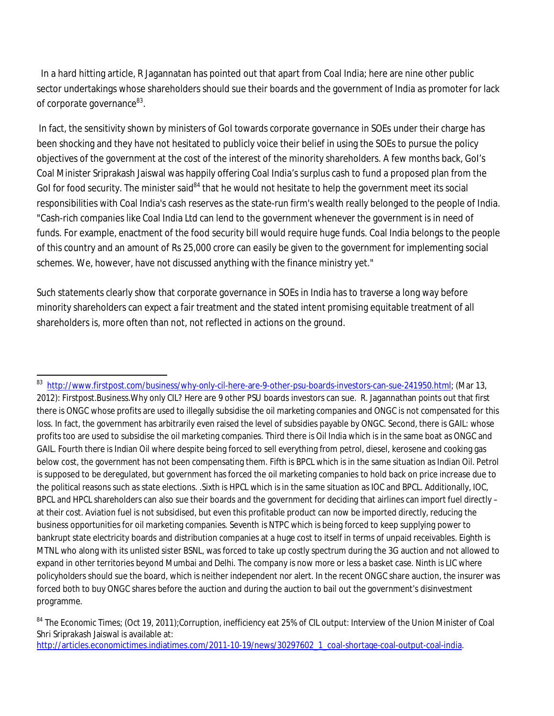In a hard hitting article, R Jagannatan has pointed out that apart from Coal India; here are nine other public sector undertakings whose shareholders should sue their boards and the government of India as promoter for lack of corporate governance<sup>83</sup>.

In fact, the sensitivity shown by ministers of GoI towards corporate governance in SOEs under their charge has been shocking and they have not hesitated to publicly voice their belief in using the SOEs to pursue the policy objectives of the government at the cost of the interest of the minority shareholders. A few months back, GoI's Coal Minister Sriprakash Jaiswal was happily offering Coal India's surplus cash to fund a proposed plan from the GoI for food security. The minister said<sup>84</sup> that he would not hesitate to help the government meet its social responsibilities with Coal India's cash reserves as the state-run firm's wealth really belonged to the people of India. "Cash-rich companies like Coal India Ltd can lend to the government whenever the government is in need of funds. For example, enactment of the food security bill would require huge funds. Coal India belongs to the people of this country and an amount of Rs 25,000 crore can easily be given to the government for implementing social schemes. We, however, have not discussed anything with the finance ministry yet."

Such statements clearly show that corporate governance in SOEs in India has to traverse a long way before minority shareholders can expect a fair treatment and the stated intent promising equitable treatment of all shareholders is, more often than not, not reflected in actions on the ground.

 $\overline{\phantom{a}}$ 

<sup>&</sup>lt;sup>83</sup> http://www.firstpost.com/business/why-only-cil-here-are-9-other-psu-boards-investors-can-sue-241950.html; (Mar 13, 2012): Firstpost.Business.Why only CIL? Here are 9 other PSU boards investors can sue. R. Jagannathan points out that first there is ONGC whose profits are used to illegally subsidise the oil marketing companies and ONGC is not compensated for this loss. In fact, the government has arbitrarily even raised the level of subsidies payable by ONGC. Second, there is GAIL: whose profits too are used to subsidise the oil marketing companies. Third there is Oil India which is in the same boat as ONGC and GAIL. Fourth there is Indian Oil where despite being forced to sell everything from petrol, diesel, kerosene and cooking gas below cost, the government has not been compensating them. Fifth is BPCL which is in the same situation as Indian Oil. Petrol is supposed to be deregulated, but government has forced the oil marketing companies to hold back on price increase due to the political reasons such as state elections. .Sixth is HPCL which is in the same situation as IOC and BPCL. Additionally, IOC, BPCL and HPCL shareholders can also sue their boards and the government for deciding that airlines can import fuel directly – at their cost. Aviation fuel is not subsidised, but even this profitable product can now be imported directly, reducing the business opportunities for oil marketing companies. Seventh is NTPC which is being forced to keep supplying power to bankrupt state electricity boards and distribution companies at a huge cost to itself in terms of unpaid receivables. Eighth is MTNL who along with its unlisted sister BSNL, was forced to take up costly spectrum during the 3G auction and not allowed to expand in other territories beyond Mumbai and Delhi. The company is now more or less a basket case. Ninth is LIC where policyholders should sue the board, which is neither independent nor alert. In the recent ONGC share auction, the insurer was forced both to buy ONGC shares before the auction and during the auction to bail out the government's disinvestment programme.

<sup>84</sup> The Economic Times; (Oct 19, 2011);Corruption, inefficiency eat 25% of CIL output: Interview of the Union Minister of Coal Shri Sriprakash Jaiswal is available at: http://articles.economictimes.indiatimes.com/2011-10-19/news/30297602\_1\_coal-shortage-coal-output-coal-india.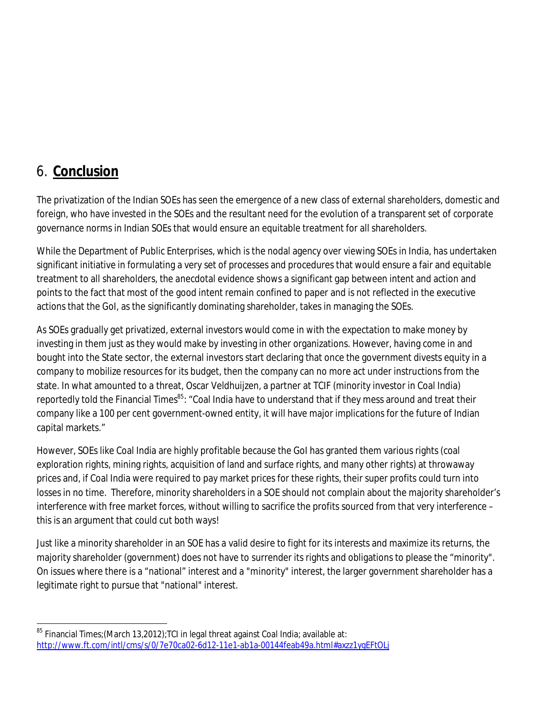### 6. **Conclusion**

The privatization of the Indian SOEs has seen the emergence of a new class of external shareholders, domestic and foreign, who have invested in the SOEs and the resultant need for the evolution of a transparent set of corporate governance norms in Indian SOEs that would ensure an equitable treatment for all shareholders.

While the Department of Public Enterprises, which is the nodal agency over viewing SOEs in India, has undertaken significant initiative in formulating a very set of processes and procedures that would ensure a fair and equitable treatment to all shareholders, the anecdotal evidence shows a significant gap between intent and action and points to the fact that most of the good intent remain confined to paper and is not reflected in the executive actions that the GoI, as the significantly dominating shareholder, takes in managing the SOEs.

As SOEs gradually get privatized, external investors would come in with the expectation to make money by investing in them just as they would make by investing in other organizations. However, having come in and bought into the State sector, the external investors start declaring that once the government divests equity in a company to mobilize resources for its budget, then the company can no more act under instructions from the state. In what amounted to a threat, Oscar Veldhuijzen, a partner at TCIF (minority investor in Coal India) reportedly told the Financial Times*<sup>85</sup>*: "Coal India have to understand that if they mess around and treat their company like a 100 per cent government-owned entity, it will have major implications for the future of Indian capital markets."

However, SOEs like Coal India are highly profitable because the GoI has granted them various rights (coal exploration rights, mining rights, acquisition of land and surface rights, and many other rights) at throwaway prices and, if Coal India were required to pay market prices for these rights, their super profits could turn into losses in no time. Therefore, minority shareholders in a SOE should not complain about the majority shareholder's interference with free market forces, without willing to sacrifice the profits sourced from that very interference – this is an argument that could cut both ways!

Just like a minority shareholder in an SOE has a valid desire to fight for its interests and maximize its returns, the majority shareholder (government) does not have to surrender its rights and obligations to please the "minority". On issues where there is a "national" interest and a "minority" interest, the larger government shareholder has a legitimate right to pursue that "national" interest.

 $\overline{\phantom{a}}$  $^{85}$  Financial Times;(March 13,2012);TCI in legal threat against Coal India; available at: http://www.ft.com/intl/cms/s/0/7e70ca02-6d12-11e1-ab1a-00144feab49a.html#axzz1ygEFtOLj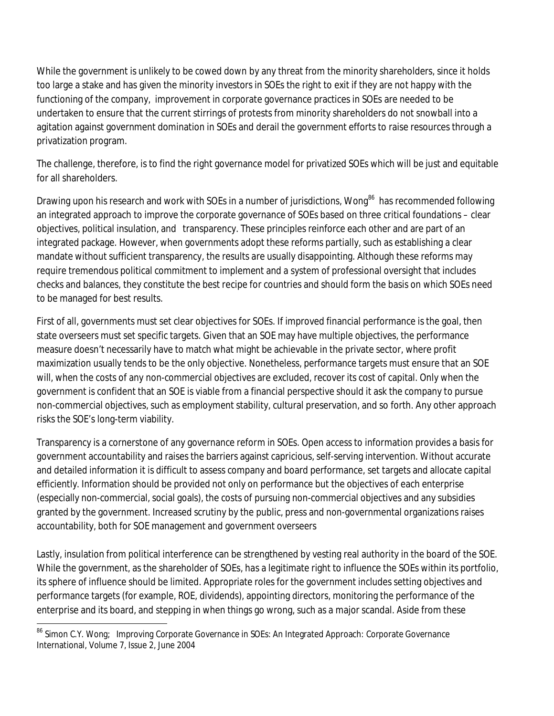While the government is unlikely to be cowed down by any threat from the minority shareholders, since it holds too large a stake and has given the minority investors in SOEs the right to exit if they are not happy with the functioning of the company, improvement in corporate governance practices in SOEs are needed to be undertaken to ensure that the current stirrings of protests from minority shareholders do not snowball into a agitation against government domination in SOEs and derail the government efforts to raise resources through a privatization program.

The challenge, therefore, is to find the right governance model for privatized SOEs which will be just and equitable for all shareholders.

Drawing upon his research and work with SOEs in a number of jurisdictions, Wong<sup>86</sup> has recommended following an integrated approach to improve the corporate governance of SOEs based on three critical foundations – clear objectives, political insulation, and transparency. These principles reinforce each other and are part of an integrated package. However, when governments adopt these reforms partially, such as establishing a clear mandate without sufficient transparency, the results are usually disappointing. Although these reforms may require tremendous political commitment to implement and a system of professional oversight that includes checks and balances, they constitute the best recipe for countries and should form the basis on which SOEs need to be managed for best results.

First of all, governments must set clear objectives for SOEs. If improved financial performance is the goal, then state overseers must set specific targets. Given that an SOE may have multiple objectives, the performance measure doesn't necessarily have to match what might be achievable in the private sector, where profit maximization usually tends to be the only objective. Nonetheless, performance targets must ensure that an SOE will, when the costs of any non-commercial objectives are excluded, recover its cost of capital. Only when the government is confident that an SOE is viable from a financial perspective should it ask the company to pursue non-commercial objectives, such as employment stability, cultural preservation, and so forth. Any other approach risks the SOE's long-term viability.

Transparency is a cornerstone of any governance reform in SOEs. Open access to information provides a basis for government accountability and raises the barriers against capricious, self-serving intervention. Without accurate and detailed information it is difficult to assess company and board performance, set targets and allocate capital efficiently. Information should be provided not only on performance but the objectives of each enterprise (especially non-commercial, social goals), the costs of pursuing non-commercial objectives and any subsidies granted by the government. Increased scrutiny by the public, press and non-governmental organizations raises accountability, both for SOE management and government overseers

Lastly, insulation from political interference can be strengthened by vesting real authority in the board of the SOE. While the government, as the shareholder of SOEs, has a legitimate right to influence the SOEs within its portfolio, its sphere of influence should be limited. Appropriate roles for the government includes setting objectives and performance targets (for example, ROE, dividends), appointing directors, monitoring the performance of the enterprise and its board, and stepping in when things go wrong, such as a major scandal. Aside from these

 $\overline{\phantom{a}}$ <sup>86</sup> Simon C.Y. Wong; Improving Corporate Governance in SOEs: An Integrated Approach: Corporate Governance International, Volume 7, Issue 2, June 2004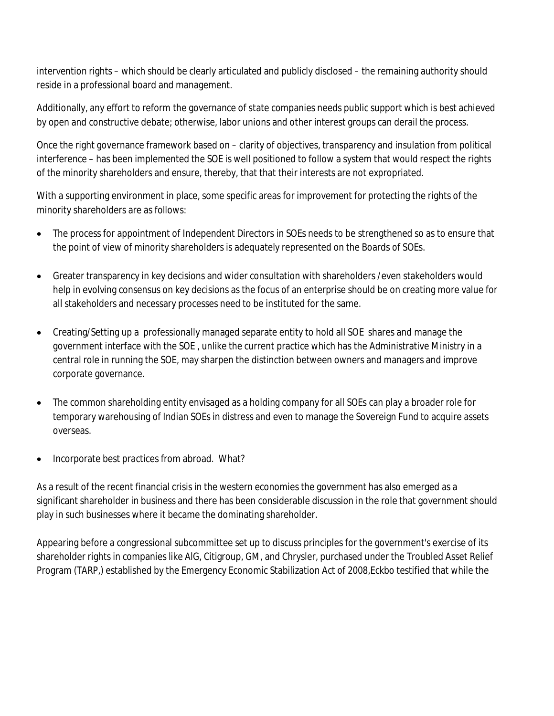intervention rights – which should be clearly articulated and publicly disclosed – the remaining authority should reside in a professional board and management.

Additionally, any effort to reform the governance of state companies needs public support which is best achieved by open and constructive debate; otherwise, labor unions and other interest groups can derail the process.

Once the right governance framework based on – clarity of objectives, transparency and insulation from political interference – has been implemented the SOE is well positioned to follow a system that would respect the rights of the minority shareholders and ensure, thereby, that that their interests are not expropriated.

With a supporting environment in place, some specific areas for improvement for protecting the rights of the minority shareholders are as follows:

- The process for appointment of Independent Directors in SOEs needs to be strengthened so as to ensure that the point of view of minority shareholders is adequately represented on the Boards of SOEs.
- Greater transparency in key decisions and wider consultation with shareholders /even stakeholders would help in evolving consensus on key decisions as the focus of an enterprise should be on creating more value for all stakeholders and necessary processes need to be instituted for the same.
- Creating/Setting up a professionally managed separate entity to hold all SOE shares and manage the government interface with the SOE , unlike the current practice which has the Administrative Ministry in a central role in running the SOE, may sharpen the distinction between owners and managers and improve corporate governance.
- The common shareholding entity envisaged as a holding company for all SOEs can play a broader role for temporary warehousing of Indian SOEs in distress and even to manage the Sovereign Fund to acquire assets overseas.
- Incorporate best practices from abroad. What?

As a result of the recent financial crisis in the western economies the government has also emerged as a significant shareholder in business and there has been considerable discussion in the role that government should play in such businesses where it became the dominating shareholder.

Appearing before a congressional subcommittee set up to discuss principles for the government's exercise of its shareholder rights in companies like AlG, Citigroup, GM, and Chrysler, purchased under the Troubled Asset Relief Program (TARP,) established by the Emergency Economic Stabilization Act of 2008,Eckbo testified that while the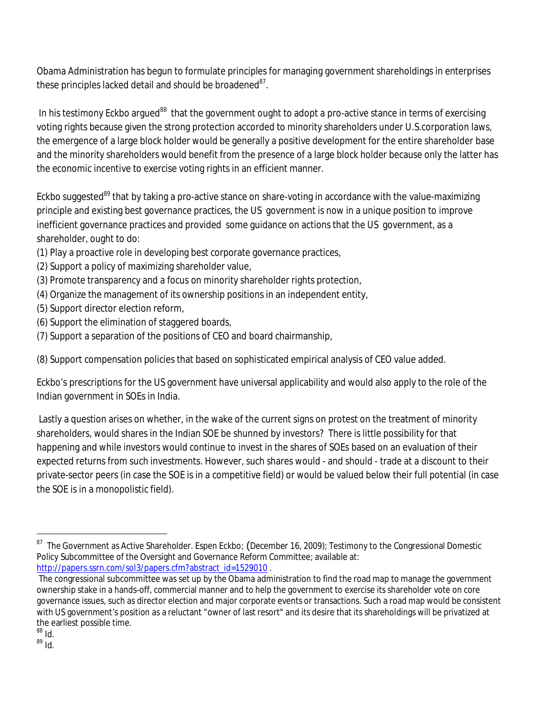Obama Administration has begun to formulate principles for managing government shareholdings in enterprises these principles lacked detail and should be broadened $^{87}$ .

In his testimony Eckbo argued<sup>88</sup> that the government ought to adopt a pro-active stance in terms of exercising voting rights because given the strong protection accorded to minority shareholders under U.S.corporation laws, the emergence of a large block holder would be generally a positive development for the entire shareholder base and the minority shareholders would benefit from the presence of a large block holder because only the latter has the economic incentive to exercise voting rights in an efficient manner.

Eckbo suggested<sup>89</sup> that by taking a pro-active stance on share-voting in accordance with the value-maximizing principle and existing best governance practices, the US government is now in a unique position to improve inefficient governance practices and provided some guidance on actions that the US government, as a shareholder, ought to do:

- (1) Play a proactive role in developing best corporate governance practices,
- (2) Support a policy of maximizing shareholder value,
- (3) Promote transparency and a focus on minority shareholder rights protection,
- (4) Organize the management of its ownership positions in an independent entity,
- (5) Support director election reform,
- (6) Support the elimination of staggered boards,
- (7) Support a separation of the positions of CEO and board chairmanship,

(8) Support compensation policies that based on sophisticated empirical analysis of CEO value added.

Eckbo's prescriptions for the US government have universal applicability and would also apply to the role of the Indian government in SOEs in India.

Lastly a question arises on whether, in the wake of the current signs on protest on the treatment of minority shareholders, would shares in the Indian SOE be shunned by investors? There is little possibility for that happening and while investors would continue to invest in the shares of SOEs based on an evaluation of their expected returns from such investments. However, such shares would - and should - trade at a discount to their private-sector peers (in case the SOE is in a competitive field) or would be valued below their full potential (in case the SOE is in a monopolistic field).

 $\overline{\phantom{a}}$ 

 $^{87}$  The Government as Active Shareholder. Espen Eckbo; (December 16, 2009); Testimony to the Congressional Domestic Policy Subcommittee of the Oversight and Governance Reform Committee; available at: http://papers.ssrn.com/sol3/papers.cfm?abstract\_id=1529010.

The congressional subcommittee was set up by the Obama administration to find the road map to manage the government ownership stake in a hands-off, commercial manner and to help the government to exercise its shareholder vote on core governance issues, such as director election and major corporate events or transactions. Such a road map would be consistent with US government's position as a reluctant "owner of last resort" and its desire that its shareholdings will be privatized at the earliest possible time.

 $^{88}$  Id.

 $^{89}$  Id.